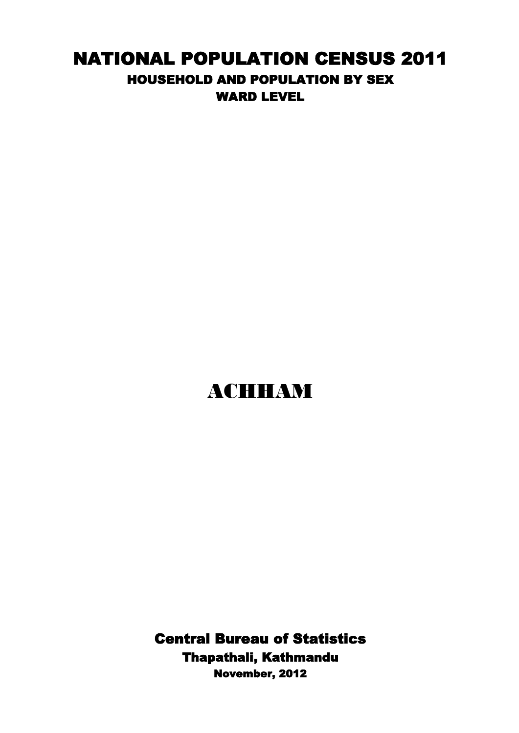## NATIONAL POPULATION CENSUS 2011 HOUSEHOLD AND POPULATION BY SEX WARD LEVEL

## ACHHAM

Central Bureau of Statistics Thapathali, Kathmandu November, 2012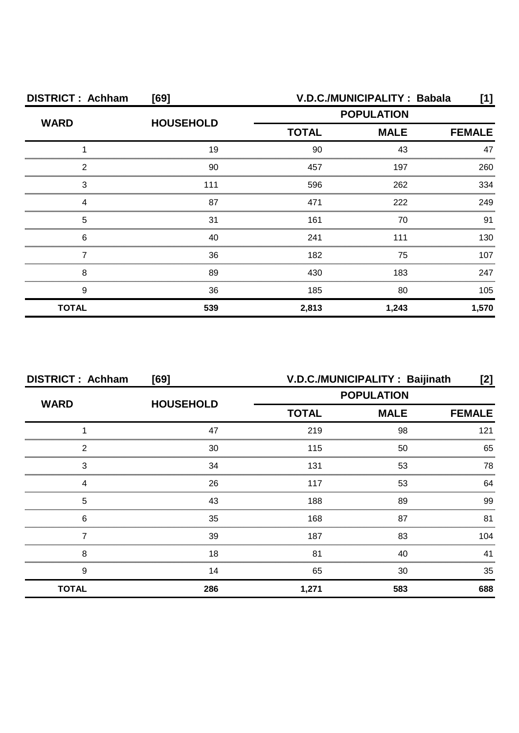| <b>DISTRICT: Achham</b> | [69]             |                   | V.D.C./MUNICIPALITY: Babala  | [1]   |
|-------------------------|------------------|-------------------|------------------------------|-------|
| <b>WARD</b>             | <b>HOUSEHOLD</b> | <b>POPULATION</b> |                              |       |
|                         |                  | <b>TOTAL</b>      | <b>MALE</b><br><b>FEMALE</b> |       |
|                         | 19               | 90                | 43                           | 47    |
| 2                       | 90               | 457               | 197                          | 260   |
| З                       | 111              | 596               | 262                          | 334   |
|                         | 87               | 471               | 222                          | 249   |
| 5                       | 31               | 161               | 70                           | 91    |
| 6                       | 40               | 241               | 111                          | 130.  |
|                         | 36               | 182               | 75                           | 107   |
| 8                       | 89               | 430               | 183                          | 247   |
| 9                       | 36               | 185               | 80                           | 105   |
| <b>TOTAL</b>            | 539              | 2,813             | 1,243                        | 1,570 |

| <b>DISTRICT: Achham</b> | [69]             | V.D.C./MUNICIPALITY: Baijinath<br>[2] |                                                                   |     |
|-------------------------|------------------|---------------------------------------|-------------------------------------------------------------------|-----|
| <b>WARD</b>             | <b>HOUSEHOLD</b> |                                       | <b>POPULATION</b><br><b>TOTAL</b><br><b>MALE</b><br><b>FEMALE</b> |     |
|                         |                  |                                       |                                                                   |     |
|                         | 47               | 219                                   | 98                                                                | 121 |
| 2                       | 30               | 115                                   | 50                                                                | 65  |
| 3                       | 34               | 131                                   | 53                                                                | 78  |
| Δ                       | 26               | 117                                   | 53                                                                | 64  |
| 5                       | 43               | 188                                   | 89                                                                | 99  |
| 6                       | 35               | 168                                   | 87                                                                | 81  |
|                         | 39               | 187                                   | 83                                                                | 104 |
| 8                       | 18               | 81                                    | 40                                                                | 41  |
| 9                       | 14               | 65                                    | 30                                                                | 35  |
| <b>TOTAL</b>            | 286              | 1,271                                 | 583                                                               | 688 |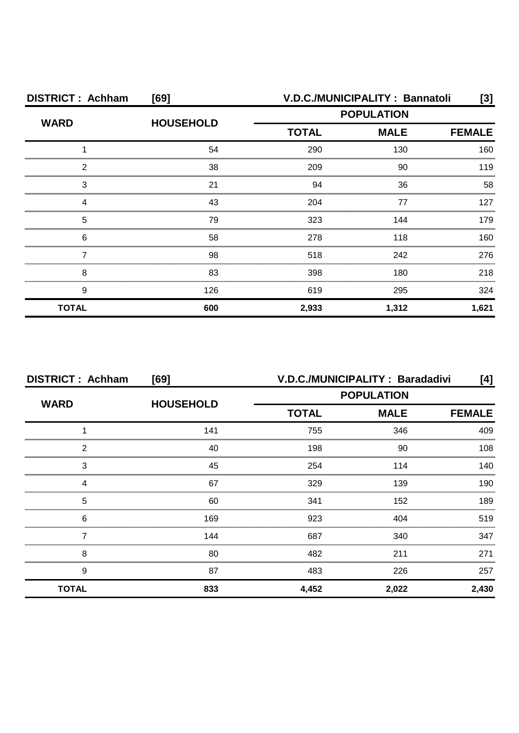| <b>DISTRICT: Achham</b> | [69]             |                             | V.D.C./MUNICIPALITY: Bannatoli | [3]           |
|-------------------------|------------------|-----------------------------|--------------------------------|---------------|
| <b>WARD</b>             | <b>HOUSEHOLD</b> | <b>POPULATION</b>           |                                |               |
|                         |                  | <b>TOTAL</b><br><b>MALE</b> |                                | <b>FEMALE</b> |
|                         | 54               | 290                         | 130                            | 160           |
| 2                       | 38               | 209                         | 90                             | 119           |
| З                       | 21               | 94                          | 36                             | 58            |
|                         | 43               | 204                         | 77                             | 127           |
| 5                       | 79               | 323                         | 144                            | 179           |
| 6                       | 58               | 278                         | 118                            | 160.          |
|                         | 98               | 518                         | 242                            | 276           |
| 8                       | 83               | 398                         | 180                            | 218           |
| 9                       | 126              | 619                         | 295                            | 324           |
| <b>TOTAL</b>            | 600              | 2,933                       | 1,312                          | 1,621         |

| <b>DISTRICT: Achham</b> | [69]             | V.D.C./MUNICIPALITY: Baradadivi<br>[4] |                              |       |  |  |
|-------------------------|------------------|----------------------------------------|------------------------------|-------|--|--|
| <b>WARD</b>             |                  | <b>POPULATION</b>                      |                              |       |  |  |
|                         | <b>HOUSEHOLD</b> | <b>TOTAL</b>                           | <b>MALE</b><br><b>FEMALE</b> |       |  |  |
|                         | 141              | 755                                    | 346                          | 409   |  |  |
| っ                       | 40               | 198                                    | 90                           | 108   |  |  |
| 3                       | 45               | 254                                    | 114                          | 140   |  |  |
|                         | 67               | 329                                    | 139                          | 190   |  |  |
| 5                       | 60               | 341                                    | 152                          | 189   |  |  |
| 6                       | 169              | 923                                    | 404                          | 519   |  |  |
|                         | 144              | 687                                    | 340                          | 347   |  |  |
| 8                       | 80               | 482                                    | 211                          | 271   |  |  |
| 9                       | 87               | 483                                    | 226                          | 257   |  |  |
| <b>TOTAL</b>            | 833              | 4,452                                  | 2,022                        | 2,430 |  |  |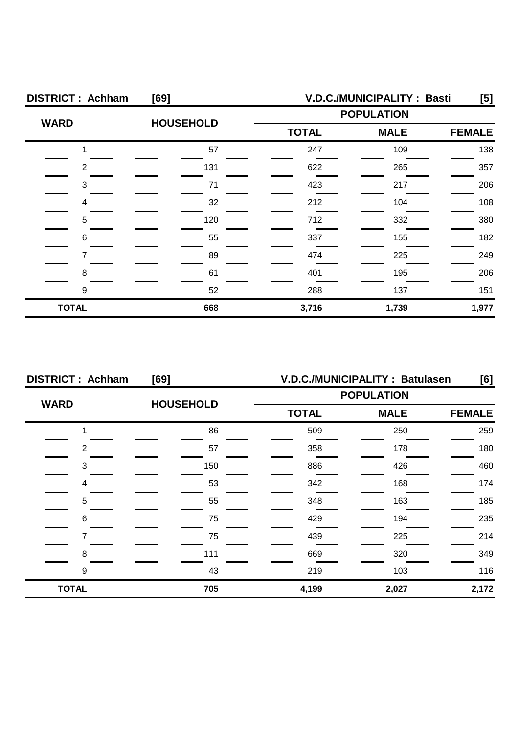| <b>DISTRICT: Achham</b><br>[69] |                  | <b>V.D.C./MUNICIPALITY: Basti</b><br>[5] |                              |       |  |
|---------------------------------|------------------|------------------------------------------|------------------------------|-------|--|
| <b>WARD</b>                     | <b>HOUSEHOLD</b> |                                          |                              |       |  |
|                                 |                  | <b>TOTAL</b>                             | <b>MALE</b><br><b>FEMALE</b> |       |  |
|                                 | 57               | 247                                      | 109                          | 138   |  |
| 2                               | 131              | 622                                      | 265                          | 357   |  |
| 3                               |                  | 423                                      | 217                          | 206   |  |
|                                 | 32               | 212                                      | 104                          | 108   |  |
| 5                               | 120              | 712                                      | 332                          | 380   |  |
| 6                               | 55               | 337                                      | 155                          | 182   |  |
|                                 | 89               | 474                                      | 225                          | 249   |  |
| 8                               | 61               | 401                                      | 195                          | 206   |  |
| 9                               | 52               | 288                                      | 137                          | 151   |  |
| <b>TOTAL</b>                    | 668              | 3,716                                    | 1,739                        | 1,977 |  |

| <b>DISTRICT: Achham</b> | [69]             | V.D.C./MUNICIPALITY: Batulasen<br>[6] |             |               |
|-------------------------|------------------|---------------------------------------|-------------|---------------|
| <b>WARD</b>             | <b>HOUSEHOLD</b> | <b>POPULATION</b>                     |             |               |
|                         |                  | <b>TOTAL</b>                          | <b>MALE</b> | <b>FEMALE</b> |
|                         | 86               | 509                                   | 250         | 259           |
| 2                       | 57               | 358                                   | 178         | 180           |
| 3                       | 150              | 886                                   | 426         | 460           |
| 4                       | 53               | 342                                   | 168         | 174           |
| 5                       | 55               | 348                                   | 163         | 185           |
| 6                       | 75               | 429                                   | 194         | 235           |
|                         | 75               | 439                                   | 225         | 214           |
| 8                       | 111              | 669                                   | 320         | 349           |
| 9                       | 43               | 219                                   | 103         | 116           |
| <b>TOTAL</b>            | 705              | 4,199                                 | 2,027       | 2,172         |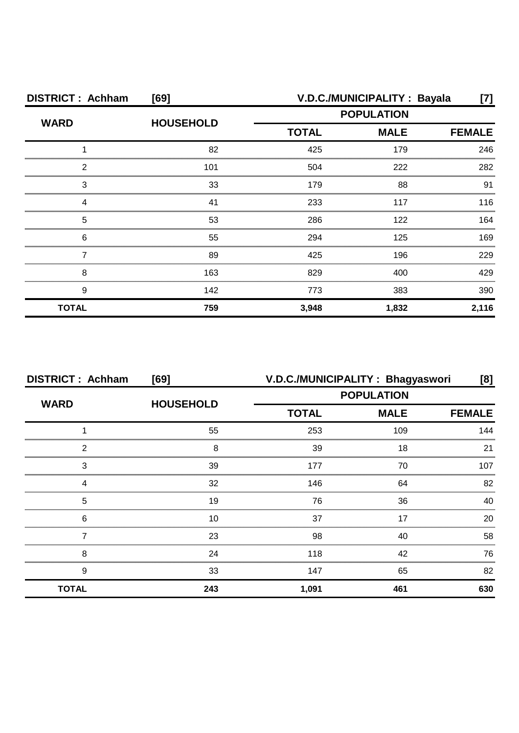| <b>DISTRICT: Achham</b><br>[69] |                  |                   | V.D.C./MUNICIPALITY: Bayala  | [7]   |  |  |
|---------------------------------|------------------|-------------------|------------------------------|-------|--|--|
| <b>WARD</b>                     | <b>HOUSEHOLD</b> | <b>POPULATION</b> |                              |       |  |  |
|                                 |                  | <b>TOTAL</b>      | <b>MALE</b><br><b>FEMALE</b> |       |  |  |
|                                 | 82               | 425               | 179                          | 246   |  |  |
| 2                               | 101              | 504               | 222                          | 282   |  |  |
| З                               | 33               | 179               | 88                           | 91    |  |  |
|                                 | 41               | 233               | 117                          | 116   |  |  |
| 5                               | 53               | 286               | 122                          | 164   |  |  |
| 6                               | 55               | 294               | 125                          | 169   |  |  |
|                                 | 89               | 425               | 196                          | 229   |  |  |
| 8                               | 163              | 829               | 400                          | 429   |  |  |
| 9                               | 142              | 773               | 383                          | 390   |  |  |
| <b>TOTAL</b>                    | 759              | 3,948             | 1,832                        | 2,116 |  |  |

| <b>DISTRICT: Achham</b> | [69]             | V.D.C./MUNICIPALITY: Bhagyaswori<br>[8] |             |               |
|-------------------------|------------------|-----------------------------------------|-------------|---------------|
| <b>WARD</b>             |                  | <b>POPULATION</b>                       |             |               |
|                         | <b>HOUSEHOLD</b> | <b>TOTAL</b>                            | <b>MALE</b> | <b>FEMALE</b> |
|                         | 55               | 253                                     | 109         | 144           |
| 2                       | 8                | 39                                      | 18          | 21            |
| 3                       | 39               | 177                                     | 70          | 107           |
|                         | 32               | 146                                     | 64          | 82            |
| 5                       | 19               | 76                                      | 36          | 40            |
| 6                       | 10               | 37                                      | 17          | 20            |
|                         | 23               | 98                                      | 40          | 58            |
| 8                       | 24               | 118                                     | 42          | 76            |
| 9                       | 33               | 147                                     | 65          | 82            |
| <b>TOTAL</b>            | 243              | 1,091                                   | 461         | 630           |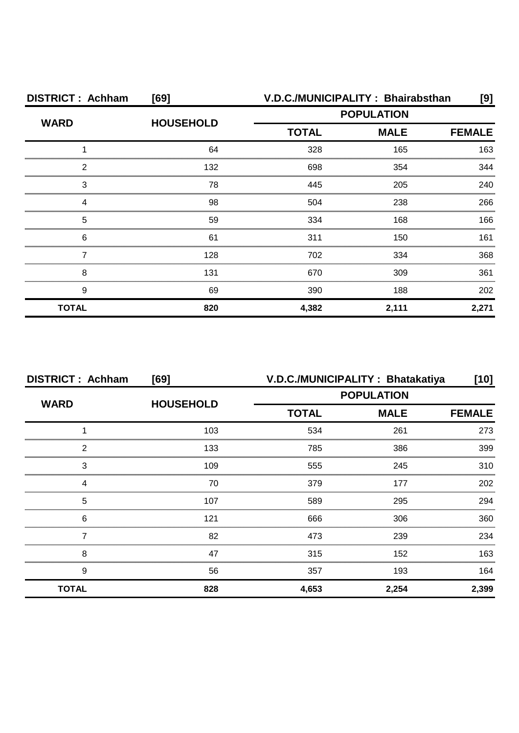| <b>DISTRICT: Achham</b> | [69]             | V.D.C./MUNICIPALITY: Bhairabsthan |                              |       |  |  |
|-------------------------|------------------|-----------------------------------|------------------------------|-------|--|--|
| <b>WARD</b>             | <b>HOUSEHOLD</b> | <b>POPULATION</b>                 |                              |       |  |  |
|                         |                  | <b>TOTAL</b>                      | <b>MALE</b><br><b>FEMALE</b> |       |  |  |
|                         | 64               | 328                               | 165                          | 163   |  |  |
| 2                       | 132              | 698                               | 354                          | 344   |  |  |
| 3                       | 78               | 445                               | 205                          | 240   |  |  |
|                         | 98               | 504                               | 238                          | 266   |  |  |
| 5                       | 59               | 334                               | 168                          | 166   |  |  |
| 6                       | 61               | 311                               | 150                          | 161   |  |  |
|                         | 128              | 702                               | 334                          | 368   |  |  |
| 8                       | 131              | 670                               | 309                          | 361   |  |  |
| 9                       | 69               | 390                               | 188                          | 202   |  |  |
| <b>TOTAL</b>            | 820              | 4,382                             | 2,111                        | 2,271 |  |  |

| V.D.C./MUNICIPALITY: Bhatakatiya<br><b>DISTRICT: Achham</b><br>[69] |                  |                   | [10]                         |       |  |  |
|---------------------------------------------------------------------|------------------|-------------------|------------------------------|-------|--|--|
| <b>WARD</b>                                                         | <b>HOUSEHOLD</b> | <b>POPULATION</b> |                              |       |  |  |
|                                                                     |                  | <b>TOTAL</b>      | <b>MALE</b><br><b>FEMALE</b> |       |  |  |
|                                                                     | 103              | 534               | 261                          | 273   |  |  |
| 2                                                                   | 133              | 785               | 386                          | 399   |  |  |
| 3                                                                   | 109              | 555               | 245                          | 310   |  |  |
|                                                                     | 70               | 379               | 177                          | 202   |  |  |
| 5                                                                   | 107              | 589               | 295                          | 294   |  |  |
| 6                                                                   | 121              | 666               | 306                          | 360   |  |  |
|                                                                     | 82               | 473               | 239                          | 234   |  |  |
| 8                                                                   | 47               | 315               | 152                          | 163   |  |  |
| 9                                                                   | 56               | 357               | 193                          | 164   |  |  |
| <b>TOTAL</b>                                                        | 828              | 4,653             | 2,254                        | 2,399 |  |  |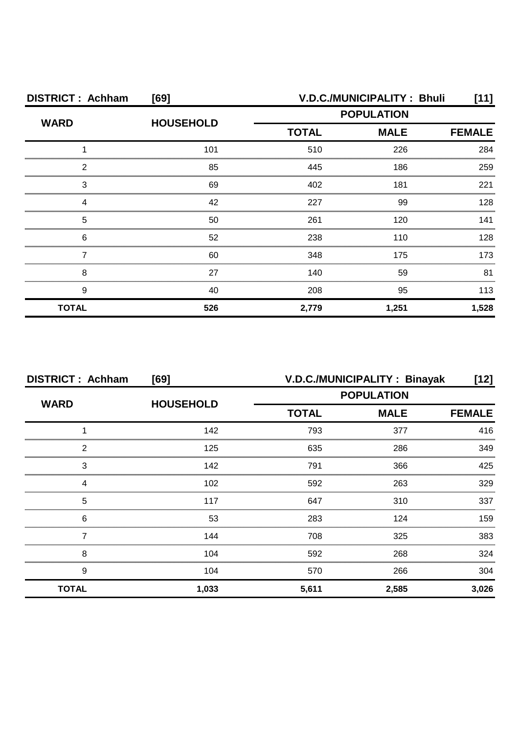| <b>DISTRICT: Achham</b><br>[69] |                  | V.D.C./MUNICIPALITY: Bhuli<br>[11] |                              |       |  |
|---------------------------------|------------------|------------------------------------|------------------------------|-------|--|
| <b>WARD</b>                     | <b>HOUSEHOLD</b> | <b>POPULATION</b>                  |                              |       |  |
|                                 |                  | <b>TOTAL</b>                       | <b>MALE</b><br><b>FEMALE</b> |       |  |
|                                 | 101              | 510                                | 226                          | 284   |  |
| 2                               | 85               | 445                                | 186                          | 259   |  |
| 3                               | 69               | 402                                | 181                          | 221   |  |
|                                 | 42               | 227                                | 99                           | 128   |  |
| 5                               | 50               | 261                                | 120                          | 141   |  |
| 6                               | 52               | 238                                | 110                          | 128   |  |
|                                 | 60               | 348                                | 175                          | 173   |  |
| 8                               | 27               | 140                                | 59                           | 81    |  |
| 9                               | 40               | 208                                | 95                           | 113   |  |
| <b>TOTAL</b>                    | 526              | 2,779                              | 1,251                        | 1,528 |  |

| <b>DISTRICT: Achham</b> | [69]             | V.D.C./MUNICIPALITY: Binayak<br>[12] |                              |       |  |  |
|-------------------------|------------------|--------------------------------------|------------------------------|-------|--|--|
| <b>WARD</b>             | <b>HOUSEHOLD</b> | <b>POPULATION</b>                    |                              |       |  |  |
|                         |                  | <b>TOTAL</b>                         | <b>MALE</b><br><b>FEMALE</b> |       |  |  |
|                         | 142              | 793                                  | 377                          | 416   |  |  |
| 2                       | 125              | 635                                  | 286                          | 349   |  |  |
| 3                       | 142              | 791                                  | 366                          | 425   |  |  |
|                         | 102              | 592                                  | 263                          | 329   |  |  |
| 5                       | 117              | 647                                  | 310                          | 337   |  |  |
| 6                       | 53               | 283                                  | 124                          | 159   |  |  |
|                         | 144              | 708                                  | 325                          | 383   |  |  |
| 8                       | 104              | 592                                  | 268                          | 324   |  |  |
| 9                       | 104              | 570                                  | 266                          | 304   |  |  |
| <b>TOTAL</b>            | 1,033            | 5,611                                | 2,585                        | 3,026 |  |  |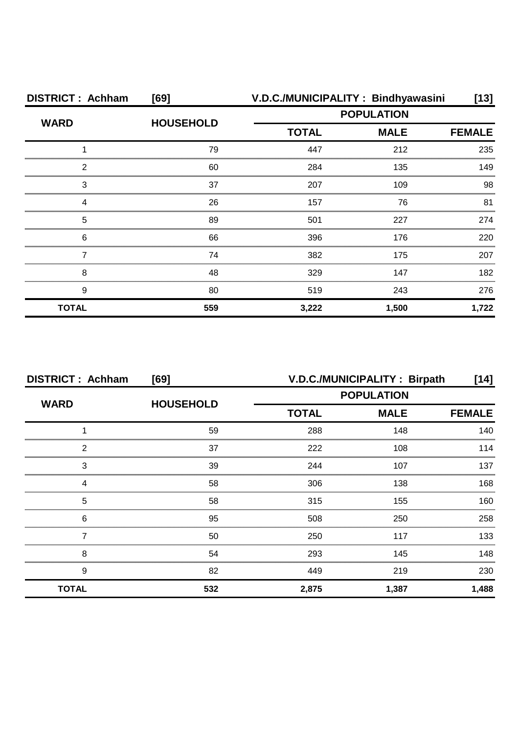| <b>DISTRICT: Achham</b>                    | [69]             |                   | V.D.C./MUNICIPALITY: Bindhyawasini | $[13]$        |
|--------------------------------------------|------------------|-------------------|------------------------------------|---------------|
| <b>WARD</b>                                | <b>HOUSEHOLD</b> | <b>POPULATION</b> |                                    |               |
|                                            |                  | <b>TOTAL</b>      | <b>MALE</b>                        | <b>FEMALE</b> |
|                                            | 79               | 447               | 212                                | 235           |
| 2                                          | 60               | 284               | 135                                | 149           |
| 3                                          | 37               | 207               | 109                                | 98            |
| Δ                                          | 26               | 157               | 76                                 | 81            |
| 5                                          | 89               | 501               | 227                                | 274           |
| 6<br>,,,,,,,,,,,,,,,,,,,,,,,,,,,,,,,,,,,,, | 66               | 396               | 176                                | 220           |
|                                            | 74               | 382               | 175                                | 207           |
| 8                                          | 48               | 329               | 147                                | 182           |
| 9                                          | 80               | 519               | 243                                | 276           |
| <b>TOTAL</b>                               | 559              | 3,222             | 1,500                              | 1,722         |

| <b>DISTRICT: Achham</b> | [69]             | V.D.C./MUNICIPALITY: Birpath |             |               |  |
|-------------------------|------------------|------------------------------|-------------|---------------|--|
|                         |                  | <b>POPULATION</b>            |             |               |  |
| <b>WARD</b>             | <b>HOUSEHOLD</b> | <b>TOTAL</b>                 | <b>MALE</b> | <b>FEMALE</b> |  |
|                         | 59               | 288                          | 148         | 140           |  |
| 2                       | 37               | 222                          | 108         | 114           |  |
| 3                       | 39               | 244                          | 107         | 137           |  |
| Δ                       | 58               | 306                          | 138         | 168           |  |
| 5                       | 58               | 315                          | 155         | 160           |  |
| 6                       | 95               | 508                          | 250         | 258           |  |
|                         | 50               | 250                          | 117         | 133           |  |
| 8                       | 54               | 293                          | 145         | 148           |  |
| 9                       | 82               | 449                          | 219         | 230           |  |
| <b>TOTAL</b>            | 532              | 2,875                        | 1,387       | 1,488         |  |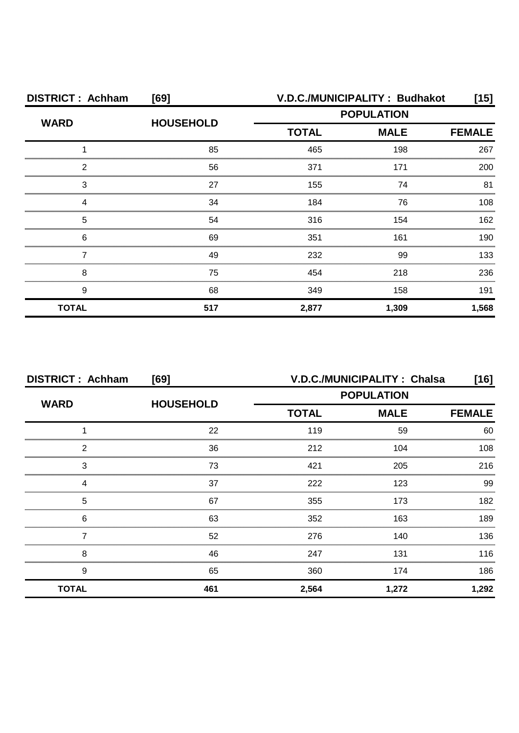| <b>DISTRICT: Achham</b> | [69]             | V.D.C./MUNICIPALITY: Budhakot |             |       |
|-------------------------|------------------|-------------------------------|-------------|-------|
| <b>WARD</b>             | <b>HOUSEHOLD</b> | <b>POPULATION</b>             |             |       |
|                         |                  | <b>TOTAL</b>                  | <b>MALE</b> |       |
|                         | 85               | 465                           | 198         | 267   |
| 2                       | 56               | 371                           | 171         | 200   |
| З                       | 27               | 155                           | 74          | 81    |
|                         | 34               | 184                           | 76          | 108   |
| 5                       | 54               | 316                           | 154         | 162   |
| 6                       | 69               | 351                           | 161         | 190   |
|                         | 49               | 232                           | 99          | 133   |
| 8                       | 75               | 454                           | 218         | 236   |
| 9                       | 68               | 349                           | 158         | 191   |
| <b>TOTAL</b>            | 517              | 2,877                         | 1,309       | 1,568 |

| <b>DISTRICT: Achham</b> | [69]             | V.D.C./MUNICIPALITY: Chalsa |                   |               |
|-------------------------|------------------|-----------------------------|-------------------|---------------|
| <b>WARD</b>             | <b>HOUSEHOLD</b> |                             | <b>POPULATION</b> |               |
|                         |                  | <b>TOTAL</b>                | <b>MALE</b>       | <b>FEMALE</b> |
|                         | 22               | 119                         | 59                | 60            |
| 2                       | 36               | 212                         | 104               | 108           |
| 3                       | 73               | 421                         | 205               | 216           |
| 4                       | 37               | 222                         | 123               | 99            |
| 5                       | 67               | 355                         | 173               | 182           |
| 6                       | 63               | 352                         | 163               | 189           |
|                         | 52               | 276                         | 140               | 136           |
| 8                       | 46               | 247                         | 131               | 116           |
| 9                       | 65               | 360                         | 174               | 186           |
| <b>TOTAL</b>            | 461              | 2,564                       | 1,272             | 1,292         |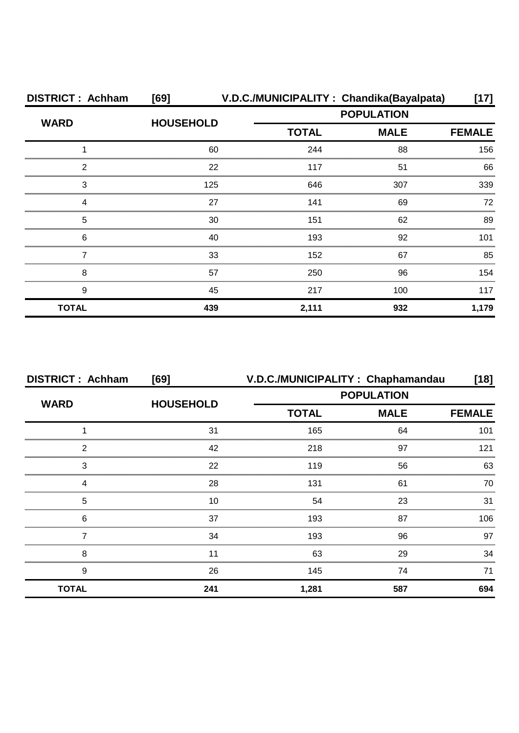| <b>DISTRICT: Achham</b> | [69]             | V.D.C./MUNICIPALITY: Chandika(Bayalpata) |                   | [17]          |  |
|-------------------------|------------------|------------------------------------------|-------------------|---------------|--|
| <b>WARD</b>             | <b>HOUSEHOLD</b> |                                          | <b>POPULATION</b> |               |  |
|                         |                  | <b>TOTAL</b>                             | <b>MALE</b>       | <b>FEMALE</b> |  |
|                         | 60               | 244                                      | 88                | 156           |  |
| 2                       | 22               | 117                                      | 51                | 66            |  |
| 3                       | 125              | 646                                      | 307               | 339           |  |
| Δ                       | 27               | 141                                      | 69                | 72            |  |
| 5                       | 30               | 151                                      | 62                | 89            |  |
| 6                       | 40               | 193                                      | 92                | 101           |  |
|                         | 33               | 152                                      | 67                | 85            |  |
| 8                       | 57               | 250                                      | 96                | 154           |  |
| 9                       | 45               | 217                                      | 100               | 117           |  |
| <b>TOTAL</b>            | 439              | 2,111                                    | 932               | 1,179         |  |

| <b>DISTRICT: Achham</b> | [69]             | V.D.C./MUNICIPALITY: Chaphamandau                |               | [18] |
|-------------------------|------------------|--------------------------------------------------|---------------|------|
| <b>WARD</b>             | <b>HOUSEHOLD</b> | <b>POPULATION</b><br><b>MALE</b><br><b>TOTAL</b> |               |      |
|                         |                  |                                                  | <b>FEMALE</b> |      |
|                         | 31               | 165                                              | 64            | 101  |
| っ                       | 42               | 218                                              | 97            | 121  |
| 3                       | 22               | 119                                              | 56            | 63   |
|                         | 28               | 131                                              | 61            | 70   |
| 5                       | 10               | 54                                               | 23            | 31   |
| 6                       | 37               | 193                                              | 87            | 106  |
|                         | 34               | 193                                              | 96            | 97   |
| 8                       |                  | 63                                               | 29            | 34   |
| 9                       | 26               | 145                                              | 74            | 71   |
| <b>TOTAL</b>            | 241              | 1,281                                            | 587           | 694  |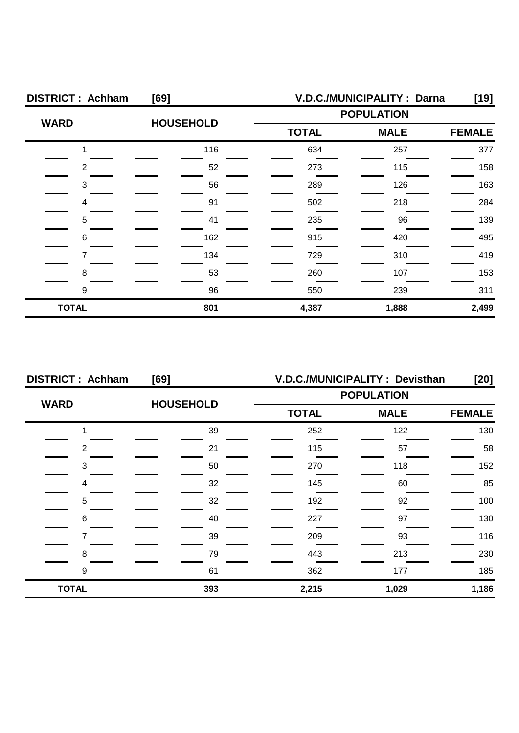| <b>DISTRICT: Achham</b><br>[69] |                  |              | V.D.C./MUNICIPALITY : Darna | [19]          |
|---------------------------------|------------------|--------------|-----------------------------|---------------|
| <b>WARD</b>                     | <b>HOUSEHOLD</b> |              | <b>POPULATION</b>           |               |
|                                 |                  | <b>TOTAL</b> | <b>MALE</b>                 | <b>FEMALE</b> |
|                                 | 116              | 634          | 257                         | 377           |
| 2                               | 52               | 273          | 115                         | 158           |
| З                               | 56               | 289          | 126                         | 163           |
|                                 | 91               | 502          | 218                         | 284           |
| 5                               | 41               | 235          | 96                          | 139           |
| 6                               | 162              | 915          | 420                         | 495           |
|                                 | 134              | 729          | 310                         | 419           |
| 8                               | 53               | 260          | 107                         | 153           |
| 9                               | 96               | 550          | 239                         | 311           |
| <b>TOTAL</b>                    | 801              | 4,387        | 1,888                       | 2,499         |

| <b>DISTRICT: Achham</b> | [69]             |                   | V.D.C./MUNICIPALITY: Devisthan | [20]          |
|-------------------------|------------------|-------------------|--------------------------------|---------------|
| <b>WARD</b>             | <b>HOUSEHOLD</b> | <b>POPULATION</b> |                                |               |
|                         |                  | <b>TOTAL</b>      | <b>MALE</b>                    | <b>FEMALE</b> |
|                         | 39               | 252               | 122                            | 130           |
| 2                       | 21               | 115               | 57                             | 58            |
| 3                       | 50               | 270               | 118                            | 152           |
| Δ                       | 32               | 145               | 60                             | 85            |
| 5                       | 32               | 192               | 92                             | 100           |
| 6                       | 40               | 227               | 97                             | 130           |
|                         | 39               | 209               | 93                             | 116           |
| 8                       | 79               | 443               | 213                            | 230           |
| 9                       | 61               | 362               | 177                            | 185           |
| <b>TOTAL</b>            | 393              | 2,215             | 1,029                          | 1,186         |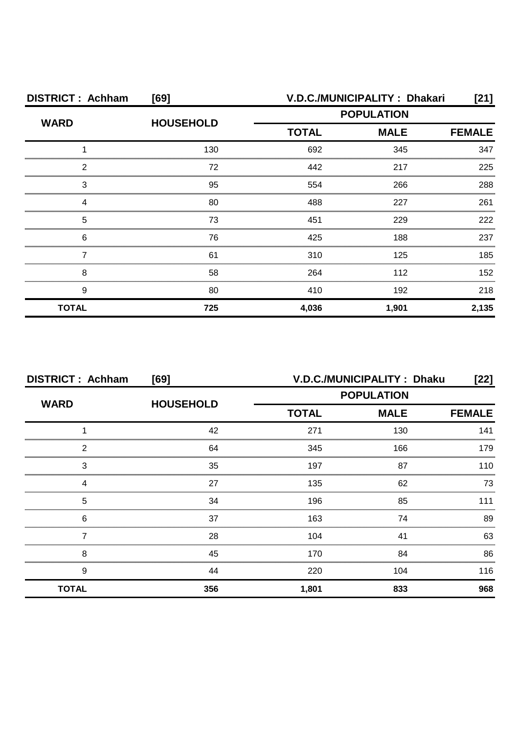| <b>DISTRICT: Achham</b> | [69]             | V.D.C./MUNICIPALITY: Dhakari |                              |       |  |
|-------------------------|------------------|------------------------------|------------------------------|-------|--|
| <b>WARD</b>             | <b>HOUSEHOLD</b> | <b>POPULATION</b>            |                              |       |  |
|                         |                  | <b>TOTAL</b>                 | <b>MALE</b><br><b>FEMALE</b> |       |  |
|                         | 130              | 692                          | 345                          | 347   |  |
| 2                       | 72               | 442                          | 217                          | 225   |  |
| З                       | 95               | 554                          | 266                          | 288   |  |
|                         | 80               | 488                          | 227                          | 261   |  |
| 5                       | 73               | 451                          | 229                          | 222   |  |
| 6                       | 76               | 425                          | 188                          | 237   |  |
|                         | 61               | 310                          | 125                          | 185   |  |
| 8                       | 58               | 264                          | 112                          | 152   |  |
| 9                       | 80               | 410                          | 192                          | 218   |  |
| <b>TOTAL</b>            | 725              | 4,036                        | 1,901                        | 2,135 |  |

| <b>DISTRICT: Achham</b> | [69]             | V.D.C./MUNICIPALITY: Dhaku |             |               |
|-------------------------|------------------|----------------------------|-------------|---------------|
|                         | <b>HOUSEHOLD</b> | <b>POPULATION</b>          |             |               |
| <b>WARD</b>             |                  | <b>TOTAL</b>               | <b>MALE</b> | <b>FEMALE</b> |
|                         | 42               | 271                        | 130         | 141           |
| 2                       | 64               | 345                        | 166         | 179           |
| 3                       | 35               | 197                        | 87          | 110           |
| Δ                       | 27               | 135                        | 62          | 73            |
| 5                       | 34               | 196                        | 85          | 111           |
| 6                       | 37               | 163                        | 74          | 89            |
|                         | 28               | 104                        | 41          | 63            |
| 8                       | 45               | 170                        | 84          | 86            |
| 9                       | 44               | 220                        | 104         | 116           |
| <b>TOTAL</b>            | 356              | 1,801                      | 833         | 968           |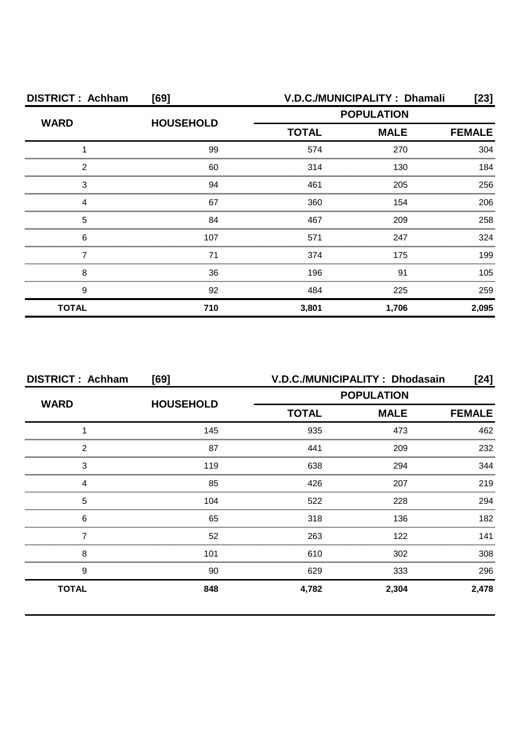| <b>DISTRICT: Achham</b> | [69]             |                   | V.D.C./MUNICIPALITY: Dhamali | [23]  |  |
|-------------------------|------------------|-------------------|------------------------------|-------|--|
| <b>WARD</b>             | <b>HOUSEHOLD</b> | <b>POPULATION</b> |                              |       |  |
|                         |                  | <b>TOTAL</b>      | <b>MALE</b><br><b>FEMALE</b> |       |  |
|                         | 99               | 574               | 270                          | 304   |  |
| 2                       | 60               | 314               | 130                          | 184   |  |
| 3                       | 94               | 461               | 205                          | 256   |  |
|                         | 67               | 360               | 154                          | 206   |  |
| 5                       | 84               | 467               | 209                          | 258   |  |
| 6                       | 107              | 571               | 247                          | 324   |  |
|                         | 71               | 374               | 175                          | 199   |  |
| 8                       | 36               | 196               | 91                           | 105   |  |
| 9                       | 92               | 484               | 225                          | 259   |  |
| <b>TOTAL</b>            | 710              | 3,801             | 1,706                        | 2,095 |  |

| <b>DISTRICT: Achham</b> | [69]             | V.D.C./MUNICIPALITY: Dhodasain |             |               |  |
|-------------------------|------------------|--------------------------------|-------------|---------------|--|
|                         | <b>HOUSEHOLD</b> | <b>POPULATION</b>              |             |               |  |
| <b>WARD</b>             |                  | <b>TOTAL</b>                   | <b>MALE</b> | <b>FEMALE</b> |  |
|                         | 145              | 935                            | 473         | 462           |  |
| 2                       | 87               | 441                            | 209         | 232           |  |
| 3                       | 119              | 638                            | 294         | 344           |  |
|                         | 85               | 426                            | 207         | 219           |  |
| 5                       | 104              | 522                            | 228         | 294           |  |
| 6                       | 65               | 318                            | 136         | 182           |  |
|                         | 52               | 263                            | 122         | 141           |  |
| 8                       | 101              | 610                            | 302         | 308           |  |
| 9                       | 90               | 629                            | 333         | 296           |  |
| <b>TOTAL</b>            | 848              | 4,782                          | 2,304       | 2,478         |  |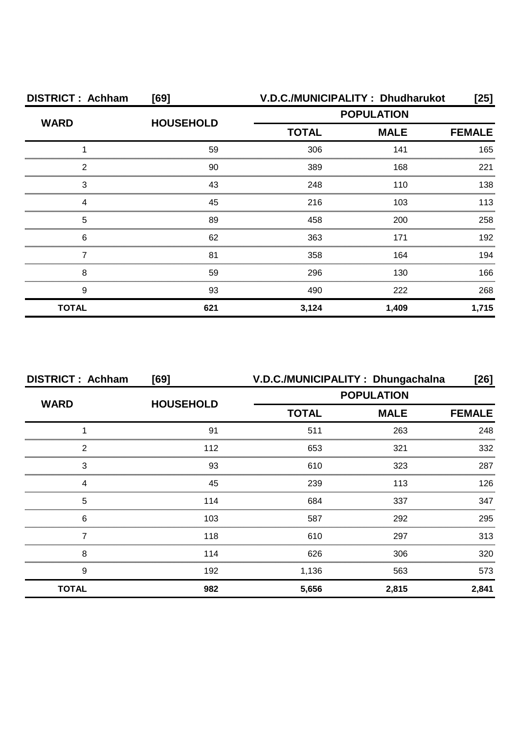| <b>DISTRICT: Achham</b> | [69]             | V.D.C./MUNICIPALITY: Dhudharukot |             |       |  |
|-------------------------|------------------|----------------------------------|-------------|-------|--|
| <b>WARD</b>             | <b>HOUSEHOLD</b> | <b>POPULATION</b>                |             |       |  |
|                         |                  | <b>TOTAL</b>                     | <b>MALE</b> |       |  |
|                         | 59               | 306                              | 141         | 165   |  |
| 2                       | 90               | 389                              | 168         | 221   |  |
| З                       | 43               | 248                              | 110         | 138   |  |
|                         | 45               | 216                              | 103         | 113   |  |
| 5                       | 89               | 458                              | 200         | 258   |  |
| 6                       | 62               | 363                              | 171         | 192   |  |
|                         | 81               | 358                              | 164         | 194   |  |
| 8                       | 59               | 296                              | 130         | 166   |  |
| 9                       | 93               | 490                              | 222         | 268   |  |
| <b>TOTAL</b>            | 621              | 3,124                            | 1,409       | 1,715 |  |

| <b>DISTRICT: Achham</b> | [69]             | V.D.C./MUNICIPALITY: Dhungachalna |             | [26]          |  |
|-------------------------|------------------|-----------------------------------|-------------|---------------|--|
| <b>WARD</b>             | <b>HOUSEHOLD</b> | <b>POPULATION</b>                 |             |               |  |
|                         |                  | <b>TOTAL</b>                      | <b>MALE</b> | <b>FEMALE</b> |  |
|                         | 91               | 511                               | 263         | 248           |  |
| っ                       | 112              | 653                               | 321         | 332           |  |
| 3                       | 93               | 610                               | 323         | 287           |  |
|                         | 45               | 239                               | 113         | 126           |  |
| 5                       | 114              | 684                               | 337         | 347           |  |
| 6                       | 103              | 587                               | 292         | 295           |  |
|                         | 118              | 610                               | 297         | 313           |  |
| 8                       | 114              | 626                               | 306         | 320           |  |
| 9                       | 192              | 1,136                             | 563         | 573           |  |
| <b>TOTAL</b>            | 982              | 5,656                             | 2,815       | 2,841         |  |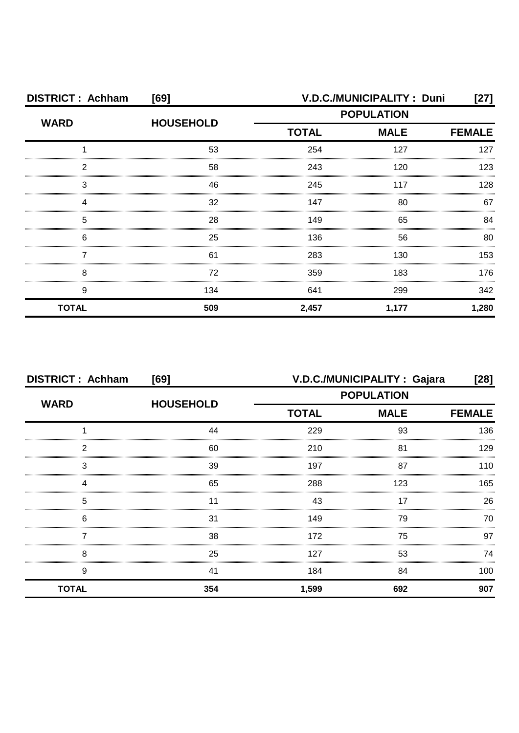| <b>DISTRICT: Achham</b> | [69]             | V.D.C./MUNICIPALITY: Duni |                              |       |  |
|-------------------------|------------------|---------------------------|------------------------------|-------|--|
| <b>WARD</b>             | <b>HOUSEHOLD</b> | <b>POPULATION</b>         |                              |       |  |
|                         |                  | <b>TOTAL</b>              | <b>MALE</b><br><b>FEMALE</b> |       |  |
|                         | 53               | 254                       | 127                          | 127   |  |
| ႒                       | 58               | 243                       | 120                          | 123   |  |
| З                       | 46               | 245                       | 117                          | 128   |  |
|                         | 32               | 147                       | 80                           | 67    |  |
| 5                       | 28               | 149                       | 65                           | 84    |  |
| 6                       | 25               | 136                       | 56                           | 80    |  |
|                         | 61               | 283                       | 130                          | 153   |  |
| 8                       | 72               | 359                       | 183                          | 176   |  |
| 9                       | 134              | 641                       | 299                          | 342   |  |
| <b>TOTAL</b>            | 509              | 2,457                     | 1,177                        | 1,280 |  |

| <b>DISTRICT: Achham</b><br>[69] |                  | V.D.C./MUNICIPALITY : Gajara<br>[28] |             |               |
|---------------------------------|------------------|--------------------------------------|-------------|---------------|
| <b>WARD</b>                     | <b>HOUSEHOLD</b> | <b>POPULATION</b>                    |             |               |
|                                 |                  | <b>TOTAL</b>                         | <b>MALE</b> | <b>FEMALE</b> |
|                                 | 44               | 229                                  | 93          | 136           |
| 2                               | 60               | 210                                  | 81          | 129           |
| 3                               | 39               | 197                                  | 87          | 110           |
|                                 | 65               | 288                                  | 123         | 165           |
| 5                               |                  | 43                                   | 17          | 26            |
| 6                               | 31               | 149                                  | 79          | 70.           |
|                                 | 38               | 172                                  | 75          | 97            |
| 8                               | 25               | 127                                  | 53          | 74            |
| 9                               | 41               | 184                                  | 84          | 100           |
| <b>TOTAL</b>                    | 354              | 1,599                                | 692         | 907           |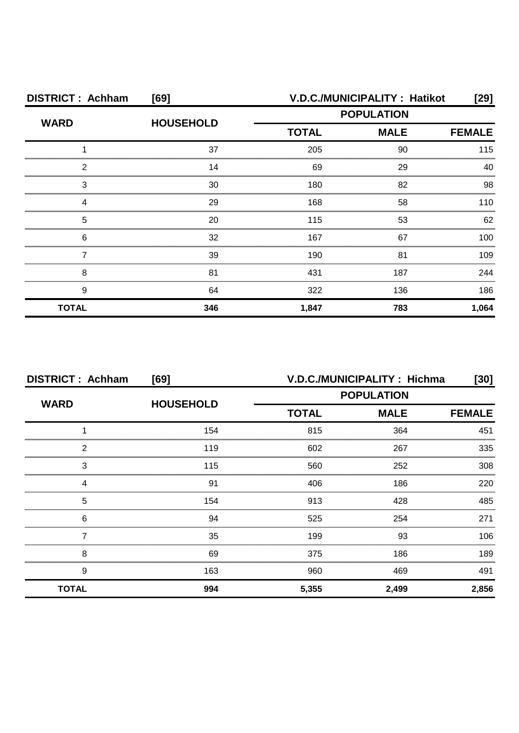| <b>DISTRICT: Achham</b> | [69]             | V.D.C./MUNICIPALITY: Hatikot<br>[29] |             |               |
|-------------------------|------------------|--------------------------------------|-------------|---------------|
| <b>WARD</b>             | <b>HOUSEHOLD</b> | <b>POPULATION</b>                    |             |               |
|                         |                  | <b>TOTAL</b>                         | <b>MALE</b> | <b>FEMALE</b> |
|                         | 37               | 205                                  | 90          | 115           |
| 2                       | 14               | 69                                   | 29          | 40            |
| З                       | 30               | 180                                  | 82          | 98            |
|                         | 29               | 168                                  | 58          | 110           |
| 5                       | 20               | 115                                  | 53          | 62            |
| 6                       | 32               | 167                                  | 67          | 100.          |
|                         | 39               | 190                                  | 81          | 109           |
| 8                       | 81               | 431                                  | 187         | 244           |
| 9                       | 64               | 322                                  | 136         | 186           |
| <b>TOTAL</b>            | 346              | 1,847                                | 783         | 1,064         |

| <b>DISTRICT: Achham</b><br>[69] |                  | V.D.C./MUNICIPALITY: Hichma<br>[30] |             |               |
|---------------------------------|------------------|-------------------------------------|-------------|---------------|
| <b>WARD</b>                     | <b>HOUSEHOLD</b> | <b>POPULATION</b>                   |             |               |
|                                 |                  | <b>TOTAL</b>                        | <b>MALE</b> | <b>FEMALE</b> |
|                                 | 154              | 815                                 | 364         | 451           |
| 2                               | 119              | 602                                 | 267         | 335           |
| 3                               | 115              | 560                                 | 252         | 308           |
| 4                               | 91               | 406                                 | 186         | 220           |
| 5                               | 154              | 913                                 | 428         | 485           |
| 6                               | 94               | 525                                 | 254         | 271           |
|                                 | 35               | 199                                 | 93          | 106           |
| 8                               | 69               | 375                                 | 186         | 189           |
| 9                               | 163              | 960                                 | 469         | 491           |
| <b>TOTAL</b>                    | 994              | 5,355                               | 2,499       | 2,856         |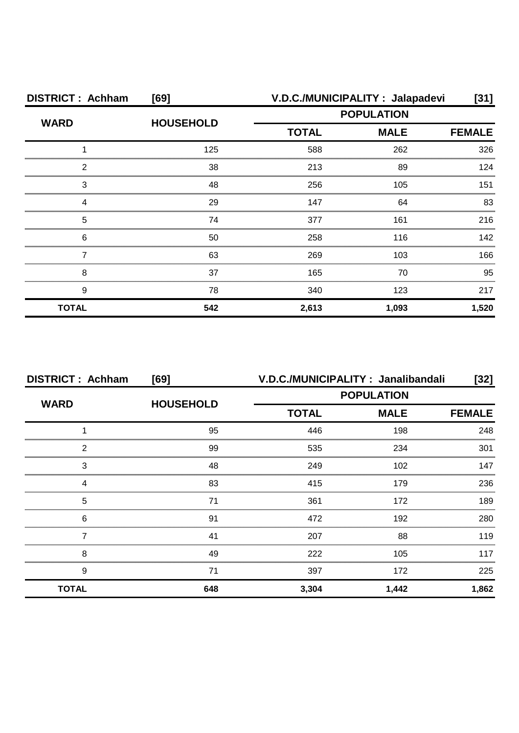| <b>DISTRICT: Achham</b> | [69]             | V.D.C./MUNICIPALITY : Jalapadevi |       |               |  |
|-------------------------|------------------|----------------------------------|-------|---------------|--|
| <b>WARD</b>             | <b>HOUSEHOLD</b> | <b>POPULATION</b>                |       |               |  |
|                         |                  | <b>TOTAL</b><br><b>MALE</b>      |       | <b>FEMALE</b> |  |
|                         | 125              | 588                              | 262   | 326           |  |
| ົ                       | 38               | 213                              | 89    | 124           |  |
| 3                       | 48               | 256                              | 105   | 151           |  |
|                         | 29               | 147                              | 64    | 83            |  |
| 5                       | 74               | 377                              | 161   | 216           |  |
| 6                       | 50               | 258                              | 116   | 142           |  |
|                         | 63               | 269                              | 103   | 166           |  |
| 8                       | 37               | 165                              | 70    | 95            |  |
| 9                       | 78               | 340                              | 123   | 217           |  |
| <b>TOTAL</b>            | 542              | 2,613                            | 1,093 | 1,520         |  |

| <b>DISTRICT: Achham</b> | [69]             | V.D.C./MUNICIPALITY: Janalibandali<br>$[32]$ |                   |               |  |
|-------------------------|------------------|----------------------------------------------|-------------------|---------------|--|
|                         | <b>HOUSEHOLD</b> |                                              | <b>POPULATION</b> |               |  |
| <b>WARD</b>             |                  | <b>TOTAL</b>                                 | <b>MALE</b>       | <b>FEMALE</b> |  |
|                         | 95               | 446                                          | 198               | 248           |  |
| 2                       | 99               | 535                                          | 234               | 301           |  |
| 3                       | 48               | 249                                          | 102               | 147           |  |
|                         | 83               | 415                                          | 179               | 236           |  |
| 5                       | 71               | 361                                          | 172               | 189           |  |
| 6                       | .91              | 472                                          | 192               | 280           |  |
|                         | 41               | 207                                          | 88                | 119           |  |
| 8                       | 49               | 222                                          | 105               | 117           |  |
| 9                       | 71               | 397                                          | 172               | 225           |  |
| <b>TOTAL</b>            | 648              | 3,304                                        | 1,442             | 1,862         |  |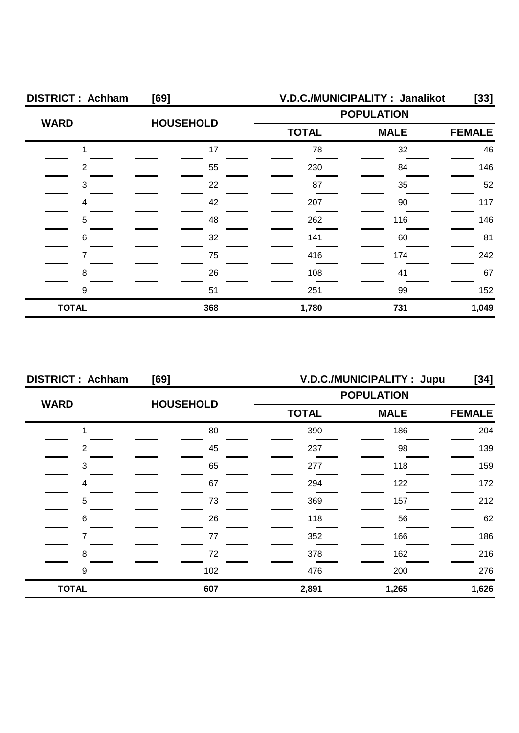| <b>DISTRICT: Achham</b> | [69]             | V.D.C./MUNICIPALITY: Janalikot<br>$[33]$ |             |               |
|-------------------------|------------------|------------------------------------------|-------------|---------------|
| <b>WARD</b>             | <b>HOUSEHOLD</b> | <b>POPULATION</b>                        |             |               |
|                         |                  | <b>TOTAL</b>                             | <b>MALE</b> | <b>FEMALE</b> |
|                         | 17               | 78                                       | 32          | 46            |
| 2                       | 55               | 230                                      | 84          | 146           |
| 3                       | 22               | 87                                       | 35          | 52            |
|                         | 42               | 207                                      | 90          | 117           |
| 5                       | 48               | 262                                      | 116         | 146           |
| 6                       | 32               | 141                                      | 60          | 81            |
|                         | 75               | 416                                      | 174         | 242           |
| 8                       | 26               | 108                                      | 41          | 67            |
| 9                       | 51               | 251                                      | 99          | 152           |
| <b>TOTAL</b>            | 368              | 1,780                                    | 731         | 1,049         |

| <b>DISTRICT: Achham</b><br>[69] |                  | V.D.C./MUNICIPALITY: Jupu<br>[34] |             |               |
|---------------------------------|------------------|-----------------------------------|-------------|---------------|
| <b>WARD</b>                     | <b>HOUSEHOLD</b> | <b>POPULATION</b>                 |             |               |
|                                 |                  | <b>TOTAL</b>                      | <b>MALE</b> | <b>FEMALE</b> |
|                                 | 80               | 390                               | 186         | 204           |
| 2                               | 45               | 237                               | 98          | 139           |
| 3                               | 65               | 277                               | 118         | 159           |
| Δ                               | 67               | 294                               | 122         | 172           |
| 5                               | 73               | 369                               | 157         | 212           |
| 6                               | 26               | 118                               | 56          | 62            |
|                                 | 77               | 352                               | 166         | 186           |
| 8                               | 72               | 378                               | 162         | 216           |
| 9                               | 102              | 476                               | 200         | 276           |
| <b>TOTAL</b>                    | 607              | 2,891                             | 1,265       | 1,626         |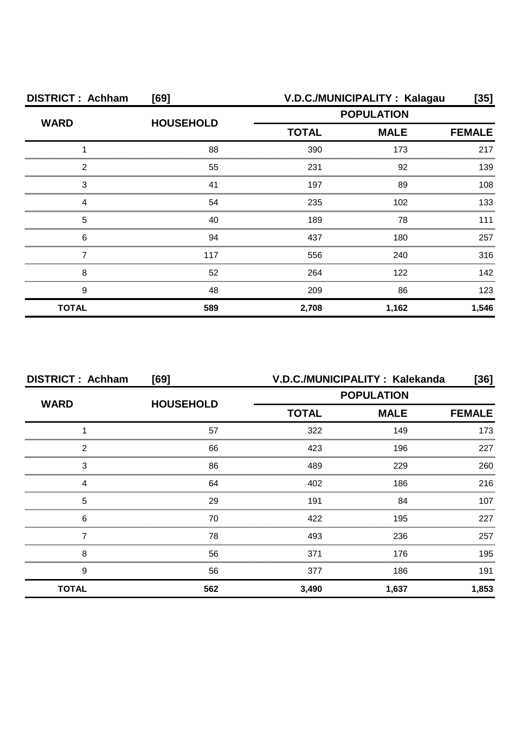| <b>DISTRICT: Achham</b> | [69]             | V.D.C./MUNICIPALITY: Kalagau                     |       |               |  |
|-------------------------|------------------|--------------------------------------------------|-------|---------------|--|
| <b>WARD</b>             | <b>HOUSEHOLD</b> | <b>POPULATION</b><br><b>TOTAL</b><br><b>MALE</b> |       |               |  |
|                         |                  |                                                  |       | <b>FEMALE</b> |  |
|                         | 88               | 390                                              | 173   | 217           |  |
| っ                       | 55               | 231                                              | 92    | 139           |  |
| З                       | 41               | 197                                              | 89    | 108           |  |
|                         | 54               | 235                                              | 102   | 133           |  |
| 5                       | 40               | 189                                              | 78    | 111           |  |
| 6                       | 94               | 437                                              | 180   | 257           |  |
|                         | 117              | 556                                              | 240   | 316           |  |
| 8                       | 52               | 264                                              | 122   | 142           |  |
| 9                       | 48               | 209                                              | 86    | 123           |  |
| <b>TOTAL</b>            | 589              | 2,708                                            | 1,162 | 1,546         |  |

| <b>DISTRICT: Achham</b> | [69]             |                   | V.D.C./MUNICIPALITY: Kalekanda | [36]          |
|-------------------------|------------------|-------------------|--------------------------------|---------------|
| <b>WARD</b>             |                  | <b>POPULATION</b> |                                |               |
|                         | <b>HOUSEHOLD</b> | <b>TOTAL</b>      | <b>MALE</b>                    | <b>FEMALE</b> |
|                         | 57               | 322               | 149                            | 173           |
| 2                       | 66               | 423               | 196                            | 227           |
| 3                       | 86               | 489               | 229                            | 260           |
| Δ                       | 64               | 402               | 186                            | 216           |
| 5                       | 29               | 191               | 84                             | 107           |
| 6                       | 70               | 422               | 195                            | 227           |
|                         | 78               | 493               | 236                            | 257           |
| 8                       | 56               | 371               | 176                            | 195           |
| 9                       | 56               | 377               | 186                            | 191           |
| <b>TOTAL</b>            | 562              | 3,490             | 1,637                          | 1,853         |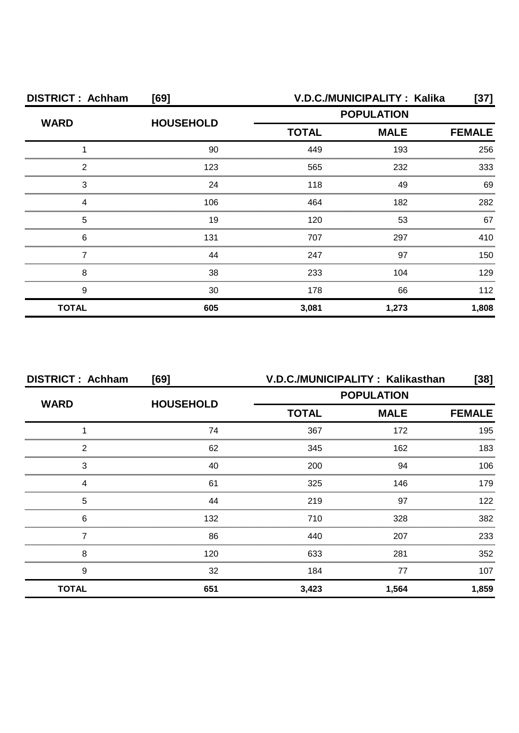| <b>DISTRICT: Achham</b> | [69]             | V.D.C./MUNICIPALITY: Kalika |             |               |
|-------------------------|------------------|-----------------------------|-------------|---------------|
| <b>WARD</b>             | <b>HOUSEHOLD</b> | <b>POPULATION</b>           |             |               |
|                         |                  | <b>TOTAL</b>                | <b>MALE</b> | <b>FEMALE</b> |
|                         | 90               | 449                         | 193         | 256           |
| ົ                       | 123              | 565                         | 232         | 333           |
| 3                       | 24               | 118                         | 49          | 69            |
|                         | 106              | 464                         | 182         | 282           |
| 5                       | 19               | 120                         | 53          | 67            |
| 6                       | 131              | 707                         | 297         | 410           |
|                         | 44               | 247                         | 97          | 150           |
| 8                       | 38               | 233                         | 104         | 129           |
| 9                       | 30               | 178                         | 66          | 112           |
| <b>TOTAL</b>            | 605              | 3,081                       | 1,273       | 1,808         |

| <b>DISTRICT: Achham</b> | [69]             | V.D.C./MUNICIPALITY: Kalikasthan |             | $[38]$ |
|-------------------------|------------------|----------------------------------|-------------|--------|
| <b>WARD</b>             |                  | <b>POPULATION</b>                |             |        |
|                         | <b>HOUSEHOLD</b> | <b>TOTAL</b>                     | <b>MALE</b> |        |
|                         | 74               | 367                              | 172         | 195    |
| 2                       | 62               | 345                              | 162         | 183    |
| 3                       | 40               | 200                              | 94          | 106    |
|                         | 61               | 325                              | 146         | 179    |
| 5                       | 44               | 219                              | 97          | 122    |
| 6                       | 132              | 710                              | 328         | 382    |
|                         | 86               | 440                              | 207         | 233    |
| 8                       | 120              | 633                              | 281         | 352    |
| 9                       | 32               | 184                              | 77          | 107    |
| <b>TOTAL</b>            | 651              | 3,423                            | 1,564       | 1,859  |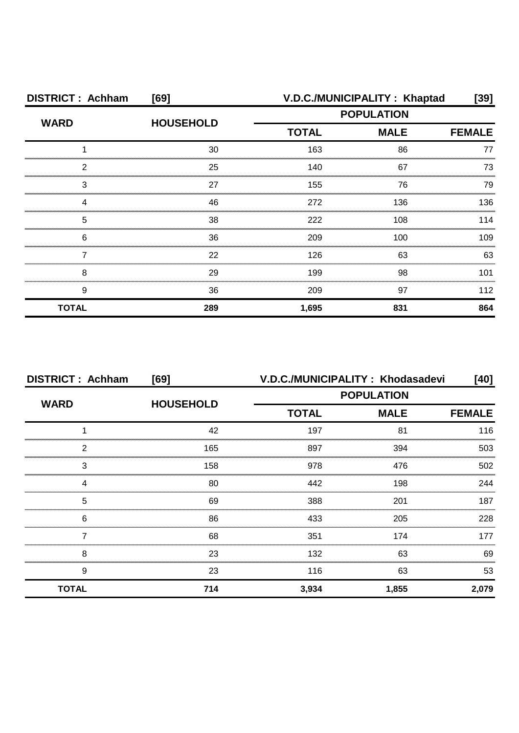| <b>DISTRICT: Achham</b> | [69]             | V.D.C./MUNICIPALITY: Khaptad |             |               |  |
|-------------------------|------------------|------------------------------|-------------|---------------|--|
| <b>WARD</b>             | <b>HOUSEHOLD</b> | <b>POPULATION</b>            |             |               |  |
|                         |                  | <b>TOTAL</b>                 | <b>MALE</b> | <b>FEMALE</b> |  |
|                         | 30               | 163                          | 86          | 77            |  |
| 2                       | 25               | 140                          | 67          | 73            |  |
| 3                       | 27               | 155                          | 76          | 79            |  |
|                         | 46               | 272                          | 136         | 136           |  |
| 5                       | 38               | 222                          | 108         | 114           |  |
| 6                       | 36               | 209                          | 100         | 109           |  |
|                         | 22               | 126                          | 63          | 63            |  |
| 8                       | 29               | 199                          | 98          | 101           |  |
| 9                       | 36               | 209                          | 97          | 112           |  |
| <b>TOTAL</b>            | 289              | 1,695                        | 831         | 864           |  |

| <b>DISTRICT: Achham</b> | [69]             |                   | V.D.C./MUNICIPALITY: Khodasadevi | [40]  |  |  |
|-------------------------|------------------|-------------------|----------------------------------|-------|--|--|
| <b>WARD</b>             | <b>HOUSEHOLD</b> | <b>POPULATION</b> |                                  |       |  |  |
|                         |                  | <b>TOTAL</b>      | <b>MALE</b>                      |       |  |  |
|                         | 42               | 197               | 81                               | 116   |  |  |
| っ                       | 165              | 897               | 394                              | 503   |  |  |
| 3                       | 158              | 978               | 476                              | 502   |  |  |
|                         | 80               | 442               | 198                              | 244   |  |  |
| 5                       | 69               | 388               | 201                              | 187   |  |  |
| 6                       | 86               | 433               | 205                              | 228   |  |  |
|                         | 68               | 351               | 174                              | 177   |  |  |
| 8                       | 23               | 132               | 63                               | 69    |  |  |
| 9                       | 23               | 116               | 63                               | 53    |  |  |
| <b>TOTAL</b>            | 714              | 3,934             | 1,855                            | 2,079 |  |  |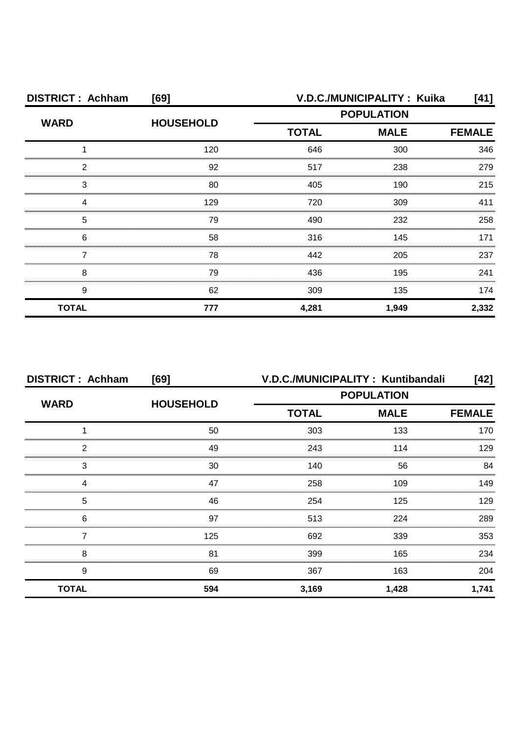| <b>DISTRICT: Achham</b> | [69]             | V.D.C./MUNICIPALITY: Kuika                       |       |               |  |
|-------------------------|------------------|--------------------------------------------------|-------|---------------|--|
| <b>WARD</b>             | <b>HOUSEHOLD</b> | <b>POPULATION</b><br><b>TOTAL</b><br><b>MALE</b> |       |               |  |
|                         |                  |                                                  |       | <b>FEMALE</b> |  |
|                         | 120              | 646                                              | 300   | 346           |  |
| 2                       | 92               | 517                                              | 238   | 279           |  |
| 3                       | 80               | 405                                              | 190   | 215           |  |
|                         | 129              | 720                                              | 309   |               |  |
| 5                       | 79               | 490                                              | 232   | 258           |  |
| 6                       | 58               | 316                                              | 145   | 171           |  |
|                         | 78               | 442                                              | 205   | 237           |  |
| 8                       | 79               | 436                                              | 195   | 241           |  |
| 9                       | 62               | 309                                              | 135   | 174           |  |
| <b>TOTAL</b>            | 777              | 4,281                                            | 1,949 | 2,332         |  |

| <b>DISTRICT: Achham</b> | [69]             | V.D.C./MUNICIPALITY: Kuntibandali<br>[42] |                   |       |
|-------------------------|------------------|-------------------------------------------|-------------------|-------|
| <b>WARD</b>             |                  |                                           | <b>POPULATION</b> |       |
|                         | <b>HOUSEHOLD</b> | <b>TOTAL</b>                              | <b>FEMALE</b>     |       |
|                         | 50               | 303                                       | 133               | 170   |
| 2                       | 49               | 243                                       | 114               | 129   |
| 3                       | 30               | 140                                       | 56                | 84    |
| Δ                       | 47               | 258                                       | 109               | 149   |
| 5                       | 46               | 254                                       | 125               | 129   |
| 6                       | 97               | 513                                       | 224               | 289   |
|                         | 125              | 692                                       | 339               | 353   |
| 8                       | 81               | 399                                       | 165               | 234   |
| 9                       | 69               | 367                                       | 163               | 204   |
| <b>TOTAL</b>            | 594              | 3,169                                     | 1,428             | 1,741 |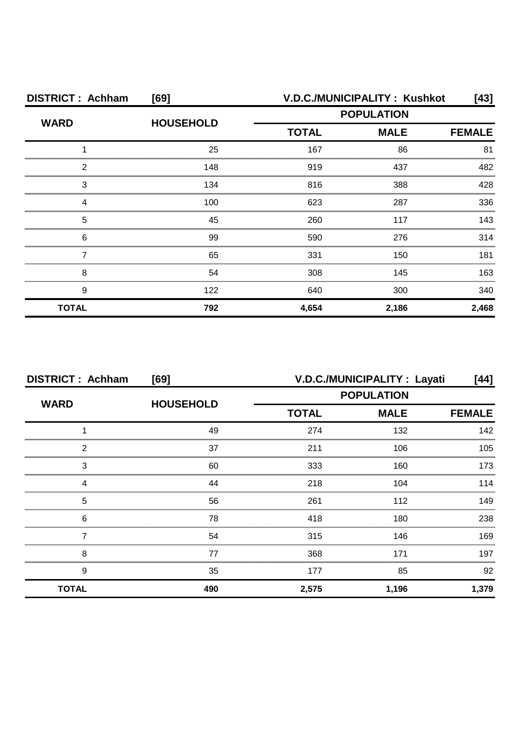| <b>DISTRICT: Achham</b> | [69]             |                             | V.D.C./MUNICIPALITY: Kushkot | [43]          |
|-------------------------|------------------|-----------------------------|------------------------------|---------------|
| <b>WARD</b>             | <b>HOUSEHOLD</b> | <b>POPULATION</b>           |                              |               |
|                         |                  | <b>MALE</b><br><b>TOTAL</b> |                              | <b>FEMALE</b> |
|                         | 25               | 167                         | 86                           | 81            |
| っ                       | 148              | 919                         | 437                          | 482           |
| 3                       | 134              | 816                         | 388                          | 428           |
|                         | 100              | 623                         | 287                          | 336           |
| 5                       | 45               | 260                         | 117                          | 143           |
| 6                       | 99               | 590                         | 276                          | 314           |
|                         | 65               | 331                         | 150                          | 181           |
| 8                       | 54               | 308                         | 145                          | 163           |
| 9                       | 122              | 640                         | 300                          | 340           |
| <b>TOTAL</b>            | 792              | 4,654                       | 2,186                        | 2,468         |

| <b>DISTRICT: Achham</b><br>[69] |                  | V.D.C./MUNICIPALITY : Layati<br>[44] |                              |       |  |
|---------------------------------|------------------|--------------------------------------|------------------------------|-------|--|
| <b>WARD</b>                     | <b>HOUSEHOLD</b> | <b>POPULATION</b>                    |                              |       |  |
|                                 |                  | <b>TOTAL</b>                         | <b>MALE</b><br><b>FEMALE</b> |       |  |
|                                 | 49               | 274                                  | 132                          | 142   |  |
| 2                               | 37               | 211                                  | 106                          | 105   |  |
| 3                               | 60               | 333                                  | 160                          | 173   |  |
| Δ                               | 44               | 218                                  | 104                          | 114   |  |
| 5                               | 56               | 261                                  | 112                          | 149   |  |
| 6                               | 78               | 418                                  | 180                          | 238   |  |
|                                 | 54               | 315                                  | 146                          | 169   |  |
| 8                               | 77               | 368                                  | 171                          | 197   |  |
| 9                               | 35               | 177                                  | 85                           | 92    |  |
| <b>TOTAL</b>                    | 490              | 2,575                                | 1,196                        | 1,379 |  |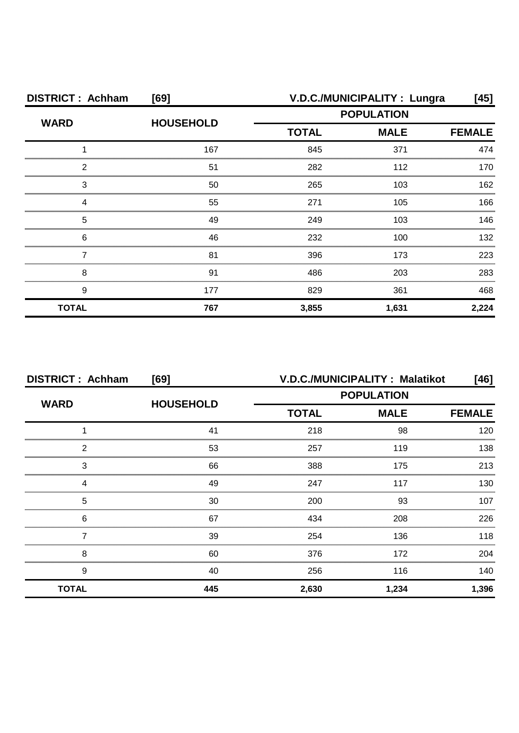| <b>DISTRICT: Achham</b> | [69]             | V.D.C./MUNICIPALITY : Lungra<br>[45] |               |       |
|-------------------------|------------------|--------------------------------------|---------------|-------|
| <b>WARD</b>             | <b>HOUSEHOLD</b> | <b>POPULATION</b>                    |               |       |
|                         |                  | <b>TOTAL</b>                         | <b>FEMALE</b> |       |
|                         | 167              | 845                                  | 371           | 474   |
| っ                       | 51               | 282                                  | 112           | 170   |
| 3                       | 50               | 265                                  | 103           | 162   |
|                         | 55               | 271                                  | 105           | 166   |
| 5                       | 49               | 249                                  | 103           | 146   |
| 6                       | 46               | 232                                  | 100           | 132   |
|                         | 81               | 396                                  | 173           | 223   |
| 8                       | 91               | 486                                  | 203           | 283   |
| 9                       | 177              | 829                                  | 361           | 468   |
| <b>TOTAL</b>            | 767              | 3,855                                | 1,631         | 2,224 |

| <b>DISTRICT: Achham</b> | [69]             |                             | V.D.C./MUNICIPALITY: Malatikot | $[46]$        |
|-------------------------|------------------|-----------------------------|--------------------------------|---------------|
| <b>WARD</b>             |                  | <b>POPULATION</b>           |                                |               |
|                         | <b>HOUSEHOLD</b> | <b>TOTAL</b><br><b>MALE</b> |                                | <b>FEMALE</b> |
|                         | 41               | 218                         | 98                             | 120           |
| 2                       | 53               | 257                         | 119                            | 138           |
| 3                       | 66               | 388                         | 175                            | 213           |
| Δ                       | 49               | 247                         | 117                            | 130           |
| 5                       | 30               | 200                         | 93                             | 107           |
| 6                       | 67               | 434                         | 208                            | 226           |
|                         | 39               | 254                         | 136                            | 118           |
| 8                       | 60               | 376                         | 172                            | 204           |
| 9                       | 40               | 256                         | 116                            | 140           |
| <b>TOTAL</b>            | 445              | 2,630                       | 1,234                          | 1,396         |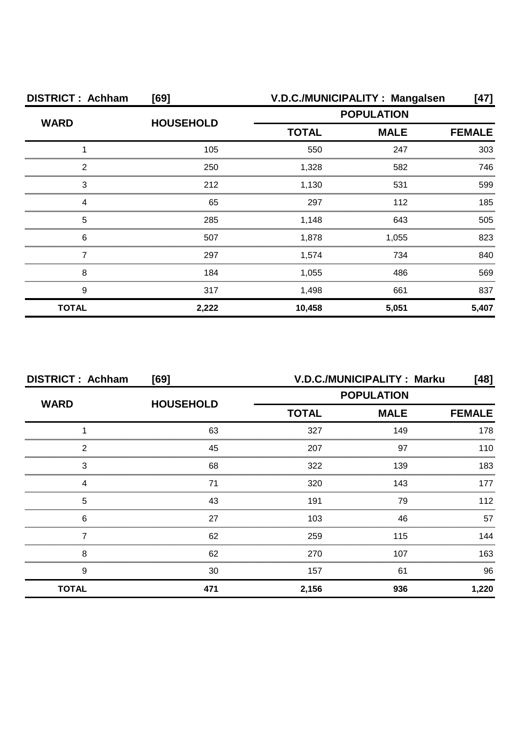| <b>DISTRICT: Achham</b> | [69]             |                   | V.D.C./MUNICIPALITY: Mangalsen | [47]  |
|-------------------------|------------------|-------------------|--------------------------------|-------|
| <b>WARD</b>             | <b>HOUSEHOLD</b> | <b>POPULATION</b> |                                |       |
|                         |                  | <b>TOTAL</b>      | <b>MALE</b>                    |       |
|                         | 105              | 550               | 247                            | 303   |
| っ                       | 250              | 1,328             | 582                            | 746   |
| 3                       | 212              | 1,130             | 531                            | 599   |
|                         | 65               | 297               | 112                            | 185   |
| 5                       | 285              | 1,148             | 643                            | 505   |
| 6                       | 507              | 1,878             | 1,055                          | 823   |
|                         | 297              | 1,574             | 734                            | 840   |
| 8                       | 184              | 1,055             | 486                            | 569   |
| 9                       | 317              | 1,498             | 661                            | 837   |
| <b>TOTAL</b>            | 2,222            | 10,458            | 5,051                          | 5,407 |

| <b>DISTRICT: Achham</b><br>[69] |                  |                   | V.D.C./MUNICIPALITY: Marku   | [48]  |  |
|---------------------------------|------------------|-------------------|------------------------------|-------|--|
| <b>WARD</b>                     | <b>HOUSEHOLD</b> | <b>POPULATION</b> |                              |       |  |
|                                 |                  | <b>TOTAL</b>      | <b>MALE</b><br><b>FEMALE</b> |       |  |
|                                 | 63               | 327               | 149                          | 178   |  |
| っ                               | 45               | 207               | 97                           | 110   |  |
| 3                               | 68               | 322               | 139                          | 183   |  |
|                                 | 71               | 320               | 143                          | 177   |  |
| 5                               | 43               | 191               | 79                           | 112   |  |
| 6                               | 27               | 103               | 46                           | 57    |  |
|                                 | 62               | 259               | 115                          | 144   |  |
| 8                               | 62               | 270               | 107                          | 163   |  |
| 9                               | 30               | 157               | 61                           | 96    |  |
| <b>TOTAL</b>                    | 471              | 2,156             | 936                          | 1,220 |  |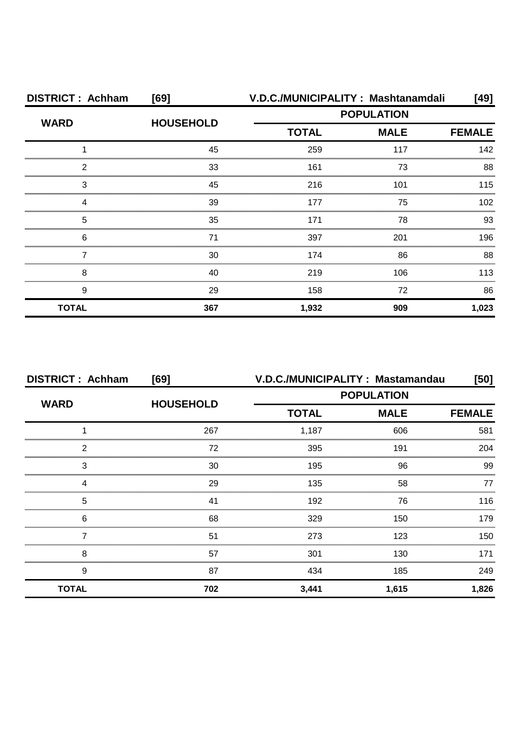| <b>DISTRICT: Achham</b> | [69]             |              | V.D.C./MUNICIPALITY: Mashtanamdali | [49]             |
|-------------------------|------------------|--------------|------------------------------------|------------------|
| <b>WARD</b>             |                  |              | <b>POPULATION</b>                  |                  |
|                         | <b>HOUSEHOLD</b> | <b>TOTAL</b> | <b>MALE</b>                        | <b>FEMALE</b>    |
|                         | 45               | 259          | 117                                | 142              |
| 2                       | 33               | 161          | 73                                 | 88               |
| 3                       | 45               | 216          | 101                                | 115              |
| Δ                       | 39               | 177          | 75                                 | 102 <sub>2</sub> |
| 5                       | 35               | 171          | 78                                 | 93               |
| 6                       | 71               | 397          | 201                                | 196              |
|                         | 30               | 174          | 86                                 | 88               |
| 8                       | 40               | 219          | 106                                | 113              |
| 9                       | 29               | 158          | 72                                 | 86               |
| <b>TOTAL</b>            | 367              | 1,932        | 909                                | 1,023            |

| <b>DISTRICT: Achham</b> | [69]             | V.D.C./MUNICIPALITY: Mastamandau |             |               |
|-------------------------|------------------|----------------------------------|-------------|---------------|
| <b>WARD</b>             |                  | <b>POPULATION</b>                |             |               |
|                         | <b>HOUSEHOLD</b> | <b>TOTAL</b>                     | <b>MALE</b> | <b>FEMALE</b> |
|                         | 267              | 1,187                            | 606         | 581           |
| っ                       | 72               | 395                              | 191         | 204           |
| 3                       | 30               | 195                              | 96          | 99            |
|                         | 29               | 135                              | 58          | 77            |
| 5                       | 41               | 192                              | 76          | 116           |
| 6                       | 68               | 329                              | 150         | 179           |
|                         | 51               | 273                              | 123         | 150.          |
| 8                       | 57               | 301                              | 130         | 171           |
| 9                       | 87               | 434                              | 185         | 249           |
| <b>TOTAL</b>            | 702              | 3,441                            | 1,615       | 1,826         |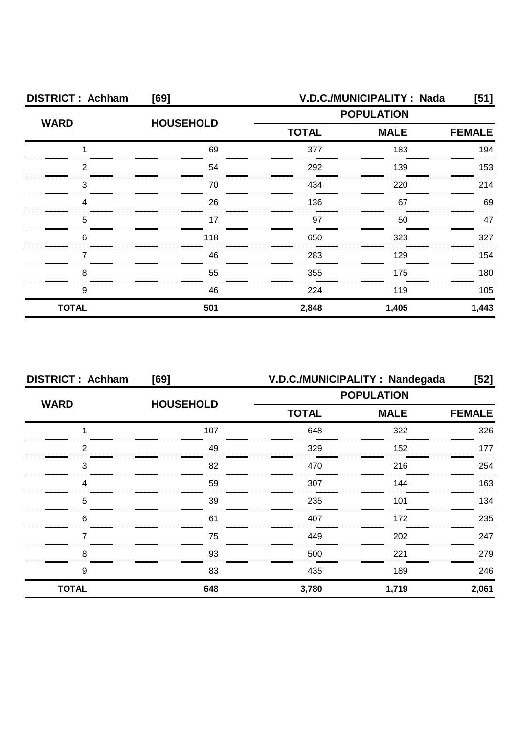| <b>DISTRICT: Achham</b> | [69]             | V.D.C./MUNICIPALITY: Nada |             |               |  |
|-------------------------|------------------|---------------------------|-------------|---------------|--|
|                         | <b>HOUSEHOLD</b> | <b>POPULATION</b>         |             |               |  |
| <b>WARD</b>             |                  | <b>TOTAL</b>              | <b>MALE</b> | <b>FEMALE</b> |  |
|                         | 69               | 377                       | 183         | 194           |  |
| 2                       | 54               | 292                       | 139         | 153           |  |
| 3                       | 70               | 434                       | 220         | 214           |  |
|                         | 26               | 136                       | 67          | 69            |  |
| 5                       | 17               | 97                        | 50          | 47            |  |
| 6                       | 118              | 650                       | 323         | 327           |  |
|                         | 46               | 283                       | 129         | 154           |  |
| 8                       | 55               | 355                       | 175         | 180           |  |
| 9                       | 46               | 224                       | 119         | 105           |  |
| <b>TOTAL</b>            | 501              | 2,848                     | 1,405       | 1,443         |  |

| <b>DISTRICT: Achham</b> | [69]             | V.D.C./MUNICIPALITY : Nandegada |             | $[52]$        |
|-------------------------|------------------|---------------------------------|-------------|---------------|
| <b>WARD</b>             | <b>HOUSEHOLD</b> | <b>POPULATION</b>               |             |               |
|                         |                  | <b>TOTAL</b>                    | <b>MALE</b> | <b>FEMALE</b> |
|                         | 107              | 648                             | 322         | 326           |
| 2                       | 49               | 329                             | 152         | 177           |
| 3                       | 82               | 470                             | 216         | 254           |
|                         | 59               | 307                             | 144         | 163           |
| 5                       | 39               | 235                             | 101         | 134           |
| 6                       | 61               | 407                             | 172         | 235           |
|                         | 75               | 449                             | 202         | 247           |
| 8                       | 93               | 500                             | 221         | 279           |
| 9                       | 83               | 435                             | 189         | 246           |
| <b>TOTAL</b>            | 648              | 3,780                           | 1,719       | 2,061         |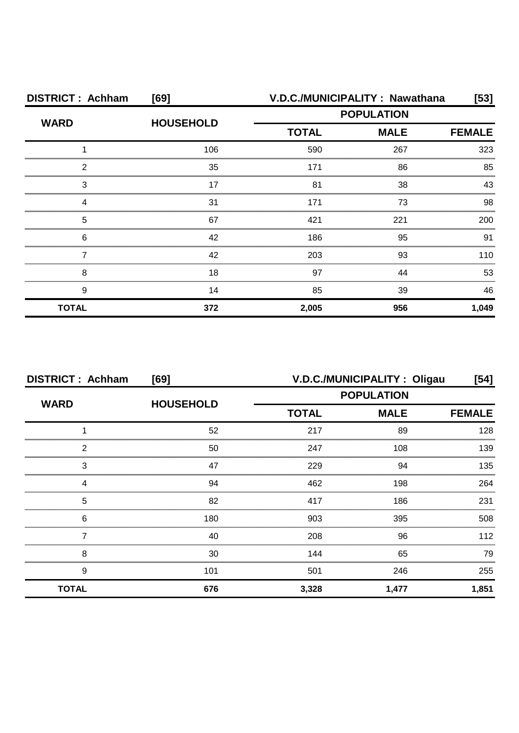| <b>DISTRICT: Achham</b> | [69]             | V.D.C./MUNICIPALITY: Nawathana |             |               |  |
|-------------------------|------------------|--------------------------------|-------------|---------------|--|
| <b>WARD</b>             | <b>HOUSEHOLD</b> | <b>POPULATION</b>              |             |               |  |
|                         |                  | <b>TOTAL</b>                   | <b>MALE</b> | <b>FEMALE</b> |  |
|                         | 106              | 590                            | 267         | 323           |  |
| 2                       | 35               | 171                            | 86          | 85            |  |
| 3                       |                  | 81                             | 38          | 43            |  |
|                         | 31               | 171                            | 73          | 98            |  |
| 5                       | 67               | 421                            | 221         | 200           |  |
| 6                       | 42               | 186                            | 95          | 91            |  |
|                         | 42               | 203                            | 93          | 110           |  |
| 8                       | 18               | 97                             | 44          | 53            |  |
| 9                       | 14               | 85                             | 39          | 46            |  |
| <b>TOTAL</b>            | 372              | 2,005                          | 956         | 1,049         |  |

| <b>DISTRICT: Achham</b> | V.D.C./MUNICIPALITY: Oligau<br>[69] |                   |             | $[54]$        |
|-------------------------|-------------------------------------|-------------------|-------------|---------------|
| <b>WARD</b>             | <b>HOUSEHOLD</b>                    | <b>POPULATION</b> |             |               |
|                         |                                     | <b>TOTAL</b>      | <b>MALE</b> | <b>FEMALE</b> |
|                         | 52                                  | 217               | 89          | 128           |
| 2                       | 50                                  | 247               | 108         | 139           |
| 3                       | 47                                  | 229               | 94          | 135           |
|                         | 94                                  | 462               | 198         | 264           |
| 5                       | 82                                  | 417               | 186         | 231           |
| 6                       | 180                                 | 903               | 395         | 508           |
|                         | 40                                  | 208               | 96          | 112           |
| 8                       | 30                                  | 144               | 65          | 79            |
| 9                       | 101                                 | 501               | 246         | 255           |
| <b>TOTAL</b>            | 676                                 | 3,328             | 1,477       | 1,851         |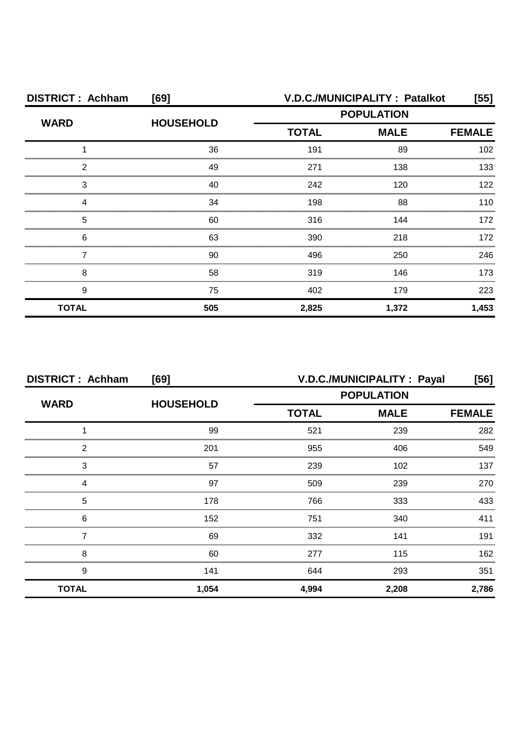| <b>DISTRICT: Achham</b> | [69]             | V.D.C./MUNICIPALITY : Patalkot<br>[55]       |       |       |  |
|-------------------------|------------------|----------------------------------------------|-------|-------|--|
| <b>WARD</b>             | <b>HOUSEHOLD</b> | <b>POPULATION</b>                            |       |       |  |
|                         |                  | <b>TOTAL</b><br><b>MALE</b><br><b>FEMALE</b> |       |       |  |
|                         | 36               | 191                                          | 89    | 102   |  |
| 2                       | 49               | 271                                          | 138   | 133   |  |
| З                       | 40               | 242                                          | 120   | 122   |  |
|                         | 34               | 198                                          | 88    | 110   |  |
| 5                       | 60               | 316                                          | 144   | 172   |  |
| 6                       | 63               | 390                                          | 218   | 172   |  |
|                         | 90               | 496                                          | 250   | 246   |  |
| 8                       | 58               | 319                                          | 146   | 173   |  |
| 9                       | 75               | 402                                          | 179   | 223   |  |
| <b>TOTAL</b>            | 505              | 2,825                                        | 1,372 | 1,453 |  |

| <b>DISTRICT: Achham</b><br>[69] |                  |                   | V.D.C./MUNICIPALITY : Payal | [56]          |
|---------------------------------|------------------|-------------------|-----------------------------|---------------|
| <b>WARD</b>                     | <b>HOUSEHOLD</b> | <b>POPULATION</b> |                             |               |
|                                 |                  | <b>TOTAL</b>      | <b>MALE</b>                 | <b>FEMALE</b> |
|                                 | 99               | 521               | 239                         | 282           |
| 2                               | 201              | 955               | 406                         | 549           |
| 3                               | 57               | 239               | 102                         | 137           |
| Δ                               | 97               | 509               | 239                         | 270           |
| 5                               | 178              | 766               | 333                         | 433           |
| 6                               | 152              | 751               | 340                         | 411           |
|                                 | 69               | 332               | 141                         | 191           |
| 8                               | 60               | 277               | 115                         | 162           |
| 9                               | 141              | 644               | 293                         | 351           |
| <b>TOTAL</b>                    | 1,054            | 4,994             | 2,208                       | 2,786         |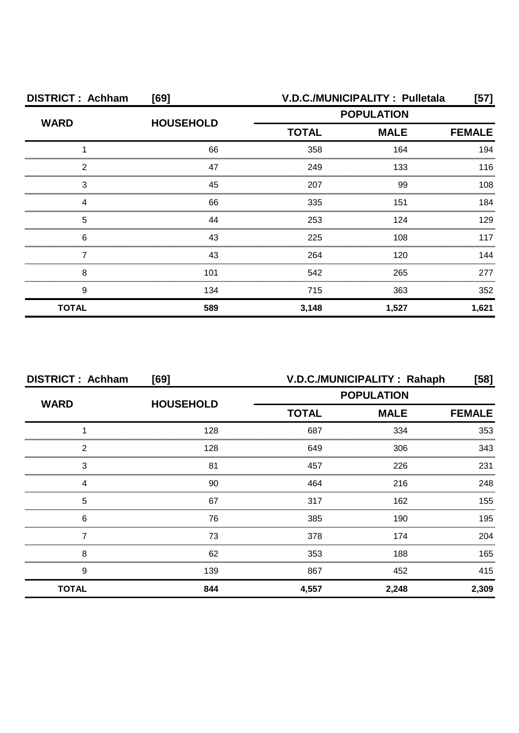| <b>DISTRICT: Achham</b> | [69]             | V.D.C./MUNICIPALITY: Pulletala |             |               |  |
|-------------------------|------------------|--------------------------------|-------------|---------------|--|
| <b>WARD</b>             | <b>HOUSEHOLD</b> | <b>POPULATION</b>              |             |               |  |
|                         |                  | <b>TOTAL</b>                   | <b>MALE</b> | <b>FEMALE</b> |  |
|                         | 66               | 358                            | 164         | 194           |  |
| 2                       | 47               | 249                            | 133         | 116           |  |
| 3                       | 45               | 207                            | 99          | 108           |  |
| Δ                       | 66               | 335                            | 151         | 184           |  |
| 5                       | 44               | 253                            | 124         | 129           |  |
| 6                       | 43               | 225                            | 108         | 117           |  |
|                         | 43               | 264                            | 120         | 144           |  |
| 8                       | 101              | 542                            | 265         | 277           |  |
| 9                       | 134              | 715                            | 363         | 352           |  |
| <b>TOTAL</b>            | 589              | 3,148                          | 1,527       | 1,621         |  |

| <b>DISTRICT: Achham</b> | [69]             | V.D.C./MUNICIPALITY: Rahaph<br>[58] |             |               |
|-------------------------|------------------|-------------------------------------|-------------|---------------|
| <b>WARD</b>             | <b>HOUSEHOLD</b> | <b>POPULATION</b>                   |             |               |
|                         |                  | <b>TOTAL</b>                        | <b>MALE</b> | <b>FEMALE</b> |
|                         | 128              | 687                                 | 334         | 353           |
| っ                       | 128              | 649                                 | 306         | 343           |
| 3                       | 81               | 457                                 | 226         | 231           |
|                         | 90               | 464                                 | 216         | 248           |
| 5                       | 67               | 317                                 | 162         | 155           |
| 6                       | 76               | 385                                 | 190         | 195           |
|                         | 73               | 378                                 | 174         | 204           |
| 8                       | 62               | 353                                 | 188         | 165           |
| 9                       | 139              | 867                                 | 452         | 415           |
| <b>TOTAL</b>            | 844              | 4,557                               | 2,248       | 2,309         |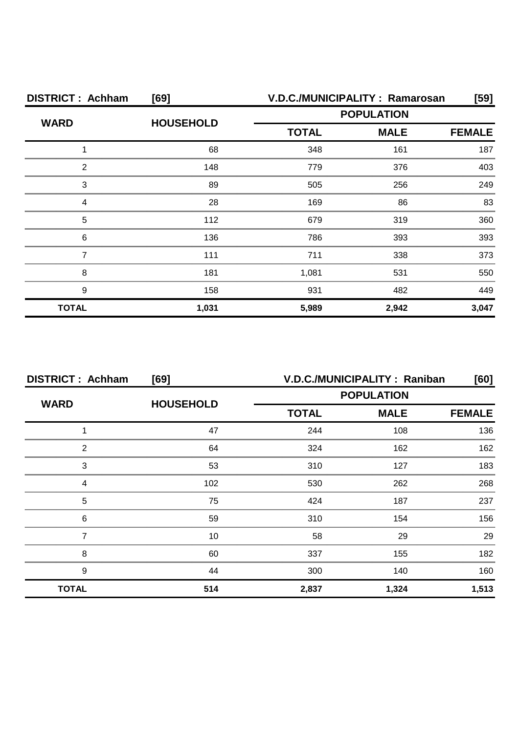| <b>DISTRICT: Achham</b> | [69]             | V.D.C./MUNICIPALITY: Ramarosan |                   |       |  |
|-------------------------|------------------|--------------------------------|-------------------|-------|--|
| <b>WARD</b>             | <b>HOUSEHOLD</b> |                                | <b>POPULATION</b> |       |  |
|                         |                  | <b>TOTAL</b>                   | <b>FEMALE</b>     |       |  |
|                         | 68               | 348                            | 161               | 187   |  |
| 2                       | 148              | 779                            | 376               | 403   |  |
| 3                       | 89               | 505                            | 256               | 249   |  |
|                         | 28               | 169                            | 86                | 83    |  |
| 5                       | 112              | 679                            | 319               | 360   |  |
| 6                       | 136              | 786                            | 393               | 393   |  |
|                         | 111              | 711                            | 338               | 373   |  |
| 8                       | 181              | 1,081                          | 531               | 550   |  |
| 9                       | 158              | 931                            | 482               | 449   |  |
| <b>TOTAL</b>            | 1,031            | 5,989                          | 2,942             | 3,047 |  |

| <b>DISTRICT: Achham</b> | [69]             | V.D.C./MUNICIPALITY: Raniban<br>[60] |             |               |  |
|-------------------------|------------------|--------------------------------------|-------------|---------------|--|
| <b>WARD</b>             | <b>HOUSEHOLD</b> | <b>POPULATION</b>                    |             |               |  |
|                         |                  | <b>TOTAL</b>                         | <b>MALE</b> | <b>FEMALE</b> |  |
|                         | 47               | 244                                  | 108         | 136           |  |
| っ                       | 64               | 324                                  | 162         | 162           |  |
| 3                       | 53               | 310                                  | 127         | 183           |  |
|                         | 102              | 530                                  | 262         | 268           |  |
| 5                       | 75               | 424                                  | 187         | 237           |  |
| 6                       | 59               | 310                                  | 154         | 156           |  |
|                         | 10               | 58                                   | 29          | 29            |  |
| 8                       | 60               | 337                                  | 155         | 182           |  |
| 9                       | 44               | 300                                  | 140         | 160           |  |
| <b>TOTAL</b>            | 514              | 2,837                                | 1,324       | 1,513         |  |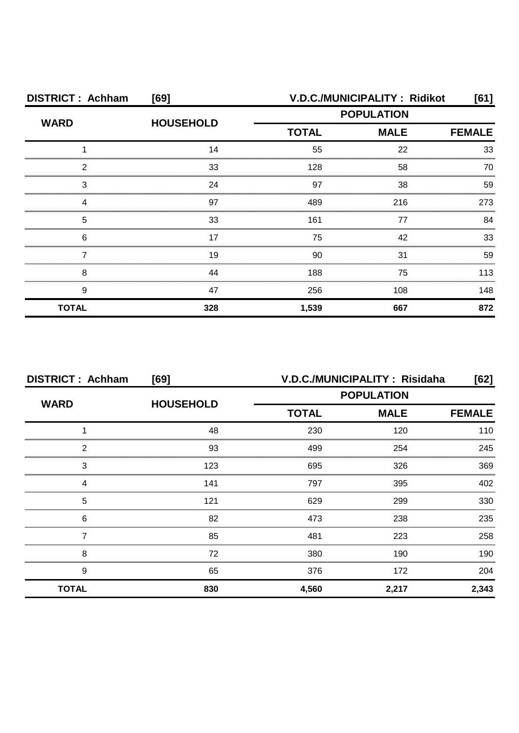| <b>DISTRICT: Achham</b> | [69]             | V.D.C./MUNICIPALITY: Ridikot |             |               |
|-------------------------|------------------|------------------------------|-------------|---------------|
|                         | <b>HOUSEHOLD</b> | <b>POPULATION</b>            |             |               |
| <b>WARD</b>             |                  | <b>TOTAL</b>                 | <b>MALE</b> | <b>FEMALE</b> |
|                         | 14               | 55                           | 22          | 33            |
| 2                       | 33               | 128                          | 58          | 70            |
| 3                       | 24               | 97                           | 38          | 59            |
|                         | 97               | 489                          | 216         | 273           |
| 5                       | 33               | 161                          | 77          | 84            |
| 6                       | 17               | 75                           | 42          | 33            |
|                         | 19               | 90                           | 31          | 59            |
| 8                       | 44               | 188                          | 75          | 113           |
| 9                       | 47               | 256                          | 108         | 148           |
| <b>TOTAL</b>            | 328              | 1,539                        | 667         | 872           |

| <b>DISTRICT: Achham</b> | [69]             | V.D.C./MUNICIPALITY: Risidaha<br>[62] |                   |               |
|-------------------------|------------------|---------------------------------------|-------------------|---------------|
| <b>WARD</b>             | <b>HOUSEHOLD</b> |                                       | <b>POPULATION</b> |               |
|                         |                  | <b>TOTAL</b>                          | <b>MALE</b>       | <b>FEMALE</b> |
|                         | 48               | 230                                   | 120               | 110           |
| っ                       | 93               | 499                                   | 254               | 245           |
| 3                       | 123              | 695                                   | 326               | 369           |
|                         | 141              | 797                                   | 395               | 402           |
| 5                       | 121              | 629                                   | 299               | 330           |
| 6                       | 82               | 473                                   | 238               | 235           |
|                         | 85               | 481                                   | 223               | 258           |
| 8                       | 72               | 380                                   | 190               | 190           |
| 9                       | 65               | 376                                   | 172               | 204           |
| <b>TOTAL</b>            | 830              | 4,560                                 | 2,217             | 2,343         |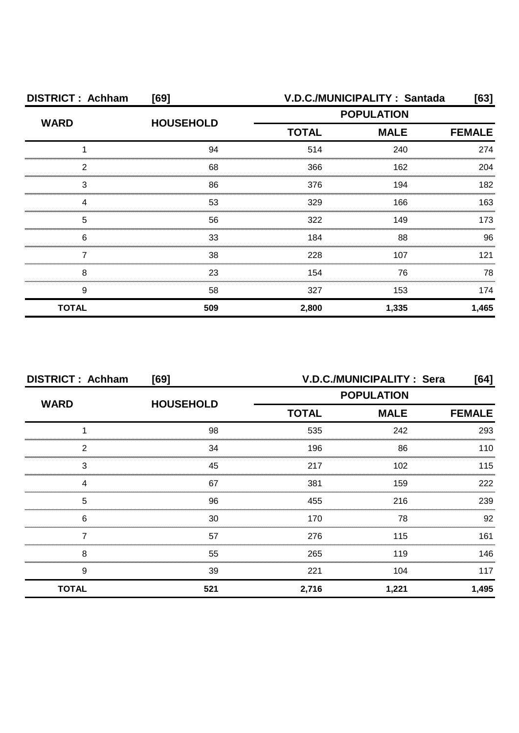| <b>DISTRICT: Achham</b> | [69]             |                   | V.D.C./MUNICIPALITY: Santada | [63]  |
|-------------------------|------------------|-------------------|------------------------------|-------|
| <b>WARD</b>             | <b>HOUSEHOLD</b> | <b>POPULATION</b> |                              |       |
|                         |                  | <b>TOTAL</b>      | <b>FEMALE</b>                |       |
|                         | 94               | 514               | 240                          | 274   |
| 2                       | 68               | 366               | 162                          | 204   |
| З                       | 86               | 376               | 194                          | 182   |
|                         | 53               | 329               | 166                          | 163   |
| 5                       | 56               | 322               | 149                          | 173   |
| 6                       | 33               | 184               | 88                           | 96    |
|                         | 38               | 228               | 107                          | 121   |
| 8                       | 23               | 154               | 76                           | 78    |
| 9                       | 58               | 327               | 153                          | 174   |
| <b>TOTAL</b>            | 509              | 2,800             | 1,335                        | 1,465 |

| <b>DISTRICT: Achham</b><br>[69] |                  | V.D.C./MUNICIPALITY: Sera<br>[64] |             |               |  |
|---------------------------------|------------------|-----------------------------------|-------------|---------------|--|
|                                 | <b>HOUSEHOLD</b> | <b>POPULATION</b>                 |             |               |  |
| <b>WARD</b>                     |                  | <b>TOTAL</b>                      | <b>MALE</b> | <b>FEMALE</b> |  |
|                                 | 98               | 535                               | 242         | 293           |  |
| 2                               | 34               | 196                               | 86          | 110           |  |
| 3                               | 45               | 217                               | 102         | 115           |  |
| 4                               | 67               | 381                               | 159         | 222           |  |
| 5                               | 96               | 455                               | 216         | 239           |  |
| 6                               | 30               | 170                               | 78          | 92            |  |
|                                 | 57               | 276                               | 115         | 161           |  |
| 8                               | 55               | 265                               | 119         | 146           |  |
| 9                               | 39               | 221                               | 104         | 117           |  |
| <b>TOTAL</b>                    | 521              | 2,716                             | 1,221       | 1,495         |  |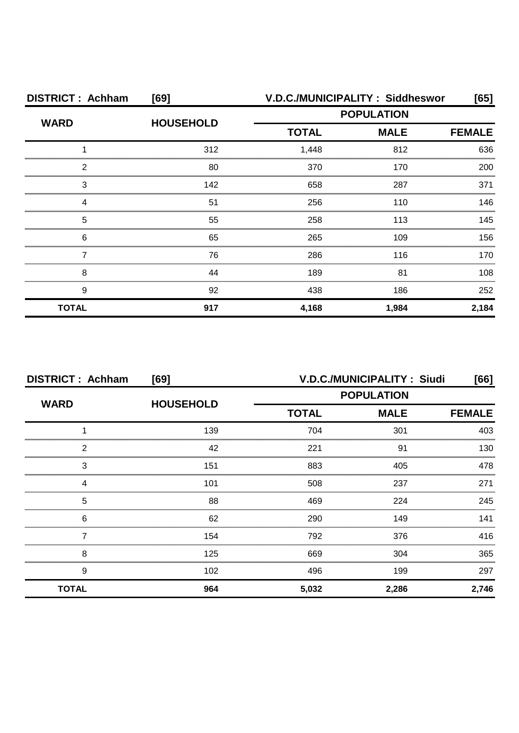| <b>DISTRICT: Achham</b> | [69]             |              | V.D.C./MUNICIPALITY: Siddheswor | [65]          |
|-------------------------|------------------|--------------|---------------------------------|---------------|
|                         | <b>HOUSEHOLD</b> |              | <b>POPULATION</b>               |               |
| <b>WARD</b>             |                  | <b>TOTAL</b> | <b>MALE</b>                     | <b>FEMALE</b> |
|                         | 312              | 1,448        | 812                             | 636           |
| 2                       | 80               | 370          | 170                             | 200           |
| З                       | 142              | 658          | 287                             | 371           |
|                         | 51               | 256          | 110                             | 146           |
| 5                       | 55               | 258          | 113                             | 145           |
| 6                       | 65               | 265          | 109                             | 156           |
|                         | 76               | 286          | 116                             | 170           |
| 8                       | 44               | 189          | 81                              | 108           |
| 9                       | 92               | 438          | 186                             | 252           |
| <b>TOTAL</b>            | 917              | 4,168        | 1,984                           | 2,184         |

| <b>DISTRICT: Achham</b><br>[69] |                  | V.D.C./MUNICIPALITY: Siudi<br>[66] |             |               |
|---------------------------------|------------------|------------------------------------|-------------|---------------|
|                                 | <b>HOUSEHOLD</b> | <b>POPULATION</b>                  |             |               |
| <b>WARD</b>                     |                  | <b>TOTAL</b>                       | <b>MALE</b> | <b>FEMALE</b> |
|                                 | 139              | 704                                | 301         | 403           |
| 2                               | 42               | 221                                | 91          | 130           |
| 3                               | 151              | 883                                | 405         | 478           |
| 4                               | 101              | 508                                | 237         | 271           |
| 5                               | 88               | 469                                | 224         | 245           |
| 6                               | 62               | 290                                | 149         | 141           |
|                                 | 154              | 792                                | 376         | 416           |
| 8                               | 125              | 669                                | 304         | 365           |
| 9                               | 102              | 496                                | 199         | 297           |
| <b>TOTAL</b>                    | 964              | 5,032                              | 2,286       | 2,746         |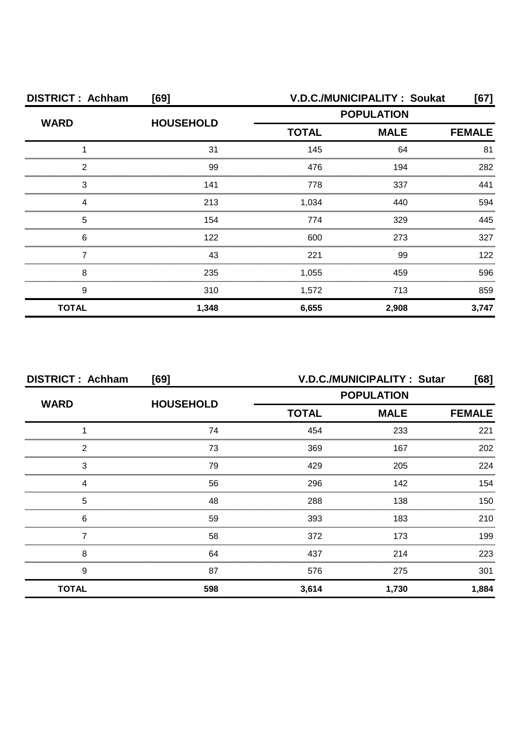| <b>DISTRICT: Achham</b><br>[69] |                  |              | V.D.C./MUNICIPALITY: Soukat<br>[67] |               |  |
|---------------------------------|------------------|--------------|-------------------------------------|---------------|--|
|                                 | <b>HOUSEHOLD</b> |              | <b>POPULATION</b>                   |               |  |
| <b>WARD</b>                     |                  | <b>TOTAL</b> | <b>MALE</b>                         | <b>FEMALE</b> |  |
|                                 | 31               | 145          | 64                                  | 81            |  |
| 2                               | 99               | 476          | 194                                 | 282           |  |
| 3                               | 141              | 778          | 337                                 | 441           |  |
| Δ                               | 213              | 1,034        | 440                                 | 594           |  |
| 5                               | 154              | 774          | 329                                 | 445           |  |
| 6                               | 122              | 600          | 273                                 | 327           |  |
|                                 | 43               | 221          | 99                                  | 122           |  |
| 8                               | 235              | 1,055        | 459                                 | 596           |  |
| 9                               | 310              | 1,572        | 713                                 | 859           |  |
| <b>TOTAL</b>                    | 1,348            | 6,655        | 2,908                               | 3,747         |  |

| <b>DISTRICT: Achham</b> | [69]             | V.D.C./MUNICIPALITY: Sutar |                   |               |  |
|-------------------------|------------------|----------------------------|-------------------|---------------|--|
| <b>WARD</b>             | <b>HOUSEHOLD</b> |                            | <b>POPULATION</b> |               |  |
|                         |                  | <b>TOTAL</b>               | <b>MALE</b>       | <b>FEMALE</b> |  |
|                         | 74               | 454                        | 233               | 221           |  |
| 2                       | 73               | 369                        | 167               | 202           |  |
| 3                       | 79               | 429                        | 205               | 224           |  |
|                         | 56               | 296                        | 142               | 154           |  |
| 5                       | 48               | 288                        | 138               | 150           |  |
| 6                       | 59               | 393                        | 183               | 210           |  |
|                         | 58               | 372                        | 173               | 199           |  |
| 8                       | 64               | 437                        | 214               | 223           |  |
| 9                       | 87               | 576                        | 275               | 301           |  |
| <b>TOTAL</b>            | 598              | 3,614                      | 1,730             | 1,884         |  |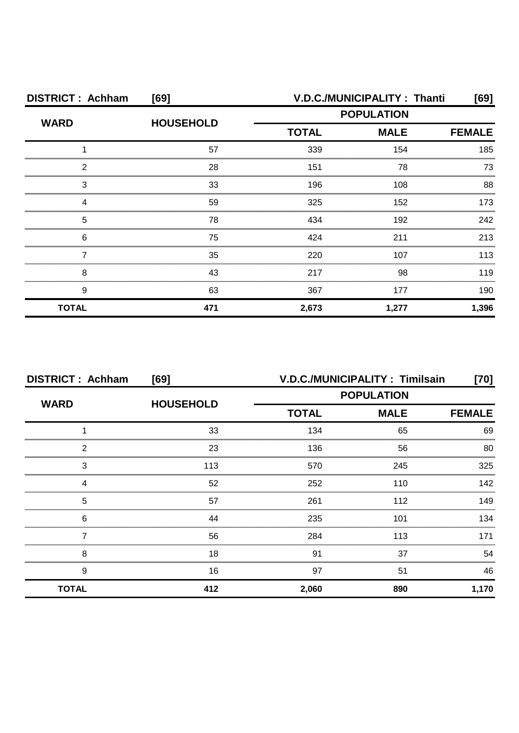| <b>DISTRICT: Achham</b> | [69]             | V.D.C./MUNICIPALITY: Thanti |       |               |  |
|-------------------------|------------------|-----------------------------|-------|---------------|--|
| <b>WARD</b>             | <b>HOUSEHOLD</b> | <b>POPULATION</b>           |       |               |  |
|                         |                  | <b>MALE</b><br><b>TOTAL</b> |       | <b>FEMALE</b> |  |
|                         | 57               | 339                         | 154   | 185           |  |
| ◠                       | 28               | 151                         | 78    | 73            |  |
| З                       | 33               | 196                         | 108   | 88            |  |
|                         | 59               | 325                         | 152   | 173           |  |
| 5                       | 78               | 434                         | 192   | 242           |  |
| 6                       | 75               | 424                         | 211   | 213           |  |
|                         | 35               | 220                         | 107   | 113           |  |
| 8                       | 43               | 217                         | 98    | 119           |  |
| 9                       | 63               | 367                         | 177   | 190           |  |
| <b>TOTAL</b>            | 471              | 2,673                       | 1,277 | 1,396         |  |

| <b>DISTRICT: Achham</b><br>[69] |                  | V.D.C./MUNICIPALITY: Timilsain<br>[70] |             |               |
|---------------------------------|------------------|----------------------------------------|-------------|---------------|
|                                 |                  | <b>POPULATION</b>                      |             |               |
| <b>WARD</b>                     | <b>HOUSEHOLD</b> | <b>TOTAL</b>                           | <b>MALE</b> | <b>FEMALE</b> |
|                                 | 33               | 134                                    | 65          | 69            |
| 2                               | 23               | 136                                    | 56          | 80            |
| 3                               | 113              | 570                                    | 245         | 325           |
| 4                               | 52               | 252                                    | 110         | 142           |
| 5                               | 57               | 261                                    | 112         | 149           |
| 6                               | 44               | 235                                    | 101         | 134           |
|                                 | 56               | 284                                    | 113         | 171           |
| 8                               | 18               | 91                                     | 37          | 54            |
| 9                               | 16               | 97                                     | 51          | 46            |
| <b>TOTAL</b>                    | 412              | 2,060                                  | 890         | 1,170         |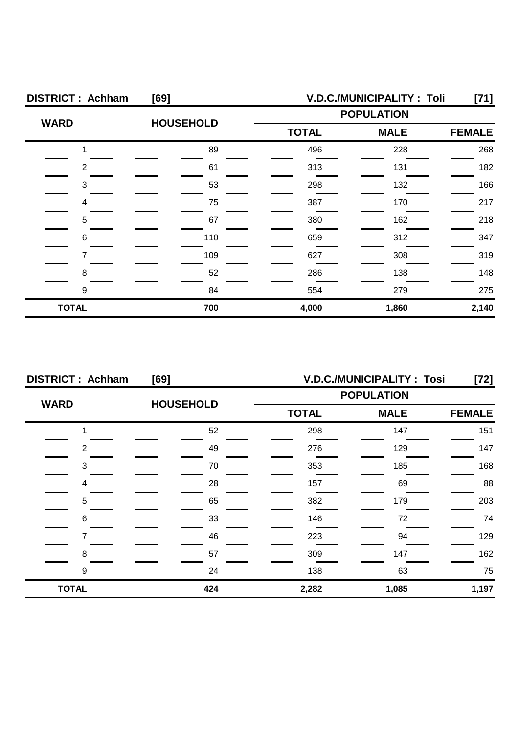| <b>DISTRICT: Achham</b> | [69]             |                   | V.D.C./MUNICIPALITY: Toli | [71]          |
|-------------------------|------------------|-------------------|---------------------------|---------------|
| <b>WARD</b>             | <b>HOUSEHOLD</b> | <b>POPULATION</b> |                           |               |
|                         |                  | <b>TOTAL</b>      | <b>MALE</b>               | <b>FEMALE</b> |
|                         | 89               | 496               | 228                       | 268           |
| 2                       | 61               | 313               | 131                       | 182           |
| З                       | 53               | 298               | 132                       | 166           |
|                         | 75               | 387               | 170                       | 217           |
| 5                       | 67               | 380               | 162                       | 218           |
| 6                       | 110              | 659               | 312                       | 347           |
|                         | 109              | 627               | 308                       | 319           |
| 8                       | 52               | 286               | 138                       | 148           |
| 9                       | 84               | 554               | 279                       | 275           |
| <b>TOTAL</b>            | 700              | 4,000             | 1,860                     | 2,140         |

| <b>DISTRICT: Achham</b><br>[69] |                  |                   | <b>V.D.C./MUNICIPALITY: Tosi</b> | [72]          |
|---------------------------------|------------------|-------------------|----------------------------------|---------------|
|                                 | <b>HOUSEHOLD</b> | <b>POPULATION</b> |                                  |               |
| <b>WARD</b>                     |                  | <b>TOTAL</b>      | <b>MALE</b>                      | <b>FEMALE</b> |
|                                 | 52               | 298               | 147                              | 151           |
| 2                               | 49               | 276               | 129                              | 147           |
| 3                               | 70               | 353               | 185                              | 168           |
| Δ                               | 28               | 157               | 69                               | 88            |
| 5                               | 65               | 382               | 179                              | 203           |
| 6                               | 33               | 146               | 72                               | 74            |
|                                 | 46               | 223               | 94                               | 129           |
| 8                               | 57               | 309               | 147                              | 162           |
| <br>9                           | 24               | 138               | 63                               | 75            |
| <b>TOTAL</b>                    | 424              | 2,282             | 1,085                            | 1,197         |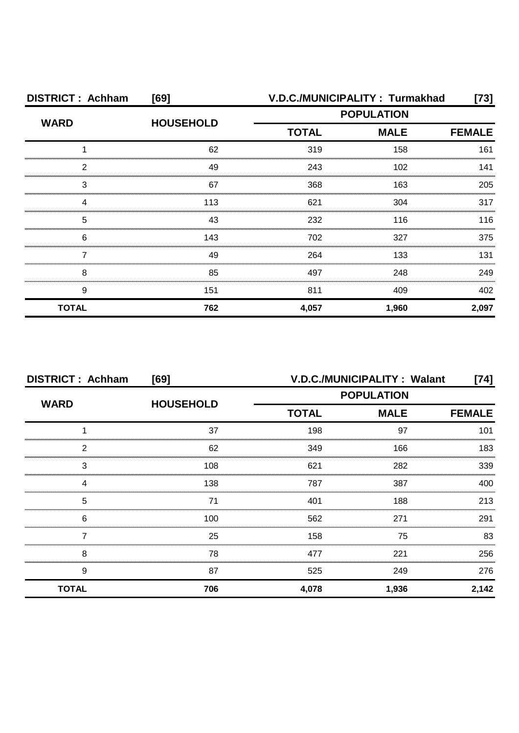| <b>DISTRICT: Achham</b> | [69]             | V.D.C./MUNICIPALITY: Turmakhad<br>[73] |             |               |
|-------------------------|------------------|----------------------------------------|-------------|---------------|
|                         |                  | <b>POPULATION</b>                      |             |               |
| <b>WARD</b>             | <b>HOUSEHOLD</b> | <b>TOTAL</b>                           | <b>MALE</b> | <b>FEMALE</b> |
|                         | 62               | 319                                    | 158         | 161           |
| 2                       | 49               | 243                                    | 102         | 141           |
| З                       | 67               | 368                                    | 163         | 205           |
|                         | 113              | 621                                    | 304         | 317           |
| 5                       | 43               | 232                                    | 116         | 116           |
| 6                       | 143              | 702                                    | 327         | 375           |
|                         | 49               | 264                                    | 133         | 131           |
| 8                       | 85               | 497                                    | 248         | 249           |
| 9                       | 151              | 811                                    | 409         | 402           |
| <b>TOTAL</b>            | 762              | 4,057                                  | 1,960       | 2,097         |

| <b>DISTRICT: Achham</b><br>[69] |                  | V.D.C./MUNICIPALITY: Walant<br>[74] |             |               |
|---------------------------------|------------------|-------------------------------------|-------------|---------------|
| <b>WARD</b>                     |                  | <b>POPULATION</b>                   |             |               |
|                                 | <b>HOUSEHOLD</b> | <b>TOTAL</b>                        | <b>MALE</b> | <b>FEMALE</b> |
|                                 | 37               | 198                                 | 97          | 101           |
| 2                               | 62               | 349                                 | 166         | 183           |
| 3                               | 108              | 621                                 | 282         | 339           |
| Δ                               | 138              | 787                                 | 387         | 400           |
| 5                               | 71               | 401                                 | 188         | 213           |
| 6                               | 100              | 562                                 | 271         | 291           |
|                                 | 25               | 158                                 | 75          | 83            |
| 8                               | 78               | 477                                 | 221         | 256           |
| 9                               | 87               | 525                                 | 249         | 276           |
| <b>TOTAL</b>                    | 706              | 4,078                               | 1,936       | 2,142         |